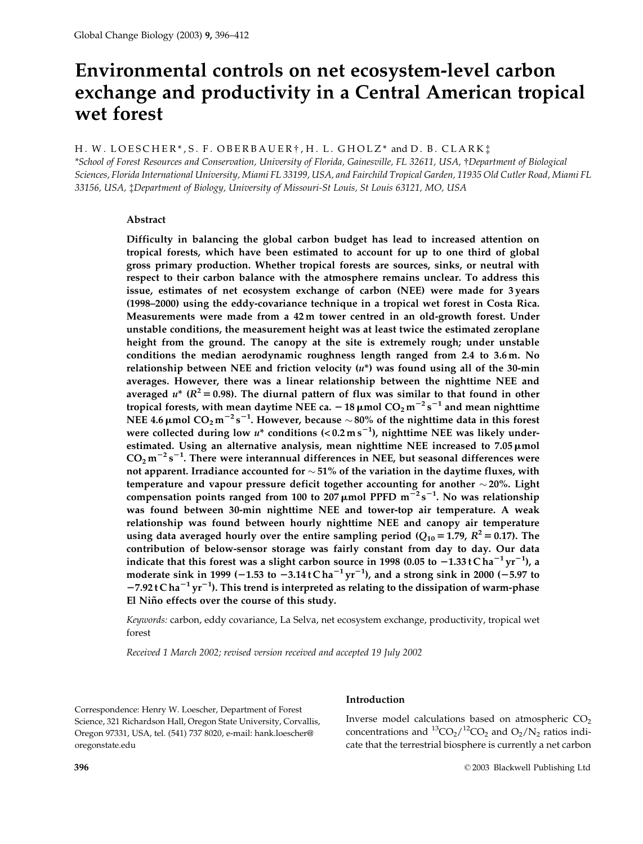# Environmental controls on net ecosystem-level carbon exchange and productivity in a Central American tropical wet forest

H. W. LOESCHER\*, S. F. OBERBAUER†, H. L. GHOLZ\* and D. B. CLARK:

\*School of Forest Resources and Conservation, University of Florida, Gainesville, FL 32611, USA, †Department of Biological Sciences, Florida International University, Miami FL 33199, USA, and Fairchild Tropical Garden, 11935 Old Cutler Road, Miami FL 33156, USA, *†Department of Biology, University of Missouri-St Louis, St Louis 63121, MO, USA* 

# Abstract

Difficulty in balancing the global carbon budget has lead to increased attention on tropical forests, which have been estimated to account for up to one third of global gross primary production. Whether tropical forests are sources, sinks, or neutral with respect to their carbon balance with the atmosphere remains unclear. To address this issue, estimates of net ecosystem exchange of carbon (NEE) were made for 3 years (1998-2000) using the eddy-covariance technique in a tropical wet forest in Costa Rica. Measurements were made from a 42 m tower centred in an old-growth forest. Under unstable conditions, the measurement height was at least twice the estimated zeroplane height from the ground. The canopy at the site is extremely rough; under unstable conditions the median aerodynamic roughness length ranged from 2.4 to 3.6 m. No relationship between NEE and friction velocity  $(u^*)$  was found using all of the 30-min averages. However, there was a linear relationship between the nighttime NEE and averaged  $u^*$  ( $R^2 = 0.98$ ). The diurnal pattern of flux was similar to that found in other tropical forests, with mean daytime NEE ca.  $-18 \mu$ mol  $CO_2 m^{-2} s^{-1}$  and mean nighttime NEE 4.6 µmol  $CO_2 m^{-2} s^{-1}$ . However, because  $\sim 80\%$  of the nighttime data in this forest were collected during low  $u^*$  conditions (<0.2 ms<sup>-1</sup>), nighttime NEE was likely underestimated. Using an alternative analysis, mean nighttime NEE increased to 7.05 µmol  $CO<sub>2</sub> m<sup>-2</sup> s<sup>-1</sup>$ . There were interannual differences in NEE, but seasonal differences were not apparent. Irradiance accounted for  $\sim$  51% of the variation in the daytime fluxes, with temperature and vapour pressure deficit together accounting for another  $\sim$  20%. Light compensation points ranged from 100 to 207  $\mu$ mol PPFD m<sup>-2</sup>s<sup>-1</sup>. No was relationship was found between 30-min nighttime NEE and tower-top air temperature. A weak relationship was found between hourly nighttime NEE and canopy air temperature using data averaged hourly over the entire sampling period ( $Q_{10}$  = 1.79,  $R^2$  = 0.17). The contribution of below-sensor storage was fairly constant from day to day. Our data indicate that this forest was a slight carbon source in 1998 (0.05 to  $-1.33 \text{ t} \text{ Cha}^{-1} \text{ yr}^{-1}$ ), a moderate sink in 1999 (-1.53 to  $-3.14 \text{ t}$ Cha<sup>-1</sup> yr<sup>-1</sup>), and a strong sink in 2000 (-5.97 to  $-7.92$  t C ha<sup>-1</sup> yr<sup>-1</sup>). This trend is interpreted as relating to the dissipation of warm-phase El Niño effects over the course of this study.

Keywords: carbon, eddy covariance, La Selva, net ecosystem exchange, productivity, tropical wet forest

Received 1 March 2002; revised version received and accepted 19 July 2002

Correspondence: Henry W. Loescher, Department of Forest Science, 321 Richardson Hall, Oregon State University, Corvallis, Oregon 97331, USA, tel. (541) 737 8020, e-mail: hank.loescher@ oregonstate.edu

# Introduction

Inverse model calculations based on atmospheric CO<sub>2</sub> concentrations and  ${}^{13}CO_2 / {}^{12}CO_2$  and  $O_2 / N_2$  ratios indicate that the terrestrial biosphere is currently a net carbon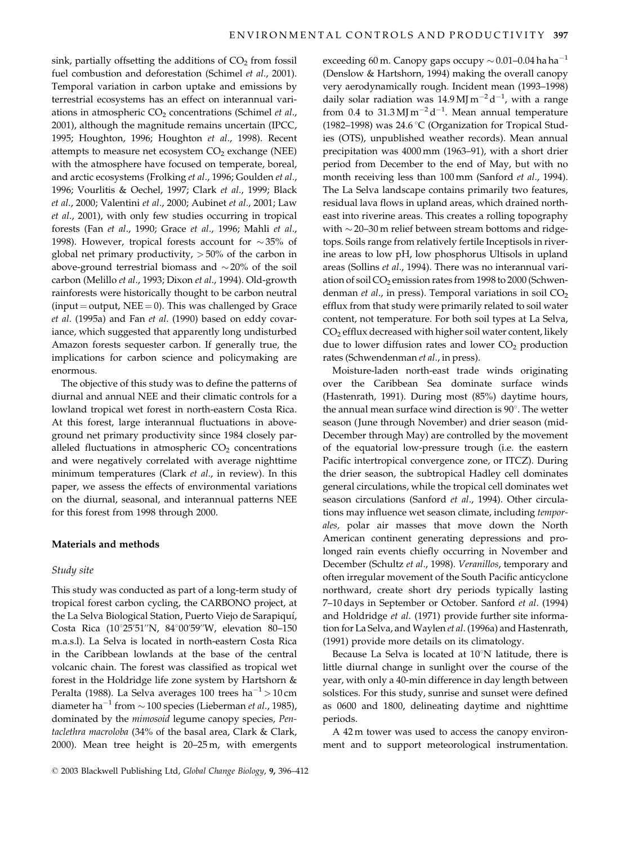sink, partially offsetting the additions of  $CO<sub>2</sub>$  from fossil fuel combustion and deforestation (Schimel et al., 2001). Temporal variation in carbon uptake and emissions by terrestrial ecosystems has an effect on interannual variations in atmospheric  $CO<sub>2</sub>$  concentrations (Schimel et al., 2001), although the magnitude remains uncertain (IPCC, 1995; Houghton, 1996; Houghton et al., 1998). Recent attempts to measure net ecosystem  $CO<sub>2</sub>$  exchange (NEE) with the atmosphere have focused on temperate, boreal, and arctic ecosystems (Frolking et al., 1996; Goulden et al., 1996; Vourlitis & Oechel, 1997; Clark et al., 1999; Black et al., 2000; Valentini et al., 2000; Aubinet et al., 2001; Law et al., 2001), with only few studies occurring in tropical forests (Fan et al., 1990; Grace et al., 1996; Mahli et al., 1998). However, tropical forests account for  $\sim$ 35% of global net primary productivity,  $>50\%$  of the carbon in above-ground terrestrial biomass and  $\sim$  20% of the soil carbon (Melillo et al., 1993; Dixon et al., 1994). Old-growth rainforests were historically thought to be carbon neutral (input = output, NEE = 0). This was challenged by Grace et al. (1995a) and Fan et al. (1990) based on eddy covariance, which suggested that apparently long undisturbed Amazon forests sequester carbon. If generally true, the implications for carbon science and policymaking are enormous.

The objective of this study was to define the patterns of diurnal and annual NEE and their climatic controls for a lowland tropical wet forest in north-eastern Costa Rica. At this forest, large interannual fluctuations in aboveground net primary productivity since 1984 closely paralleled fluctuations in atmospheric  $CO<sub>2</sub>$  concentrations and were negatively correlated with average nighttime minimum temperatures (Clark et al., in review). In this paper, we assess the effects of environmental variations on the diurnal, seasonal, and interannual patterns NEE for this forest from 1998 through 2000.

# Materials and methods

#### Study site

This study was conducted as part of a long-term study of tropical forest carbon cycling, the CARBONO project, at the La Selva Biological Station, Puerto Viejo de Sarapiquí, Costa Rica (10°25'51"N, 84°00'59"W, elevation 80-150 m.a.s.l). La Selva is located in north-eastern Costa Rica in the Caribbean lowlands at the base of the central volcanic chain. The forest was classified as tropical wet forest in the Holdridge life zone system by Hartshorn & Peralta (1988). La Selva averages 100 trees  $ha^{-1} > 10$  cm diameter ha<sup>-1</sup> from  $\sim$  100 species (Lieberman *et al.*, 1985), dominated by the mimosoid legume canopy species, Pentaclethra macroloba (34% of the basal area, Clark & Clark, 2000). Mean tree height is 20–25 m, with emergents

exceeding 60 m. Canopy gaps occupy  $\sim$  0.01–0.04 ha ha<sup>-1</sup> (Denslow & Hartshorn, 1994) making the overall canopy very aerodynamically rough. Incident mean (1993–1998) daily solar radiation was 14.9 MJ m<sup>-2</sup> d<sup>-1</sup>, with a range from 0.4 to 31.3 MJ  $m^{-2}d^{-1}$ . Mean annual temperature (1982–1998) was 24.6 °C (Organization for Tropical Studies (OTS), unpublished weather records). Mean annual precipitation was 4000 mm (1963–91), with a short drier period from December to the end of May, but with no month receiving less than 100 mm (Sanford et al., 1994). The La Selva landscape contains primarily two features, residual lava flows in upland areas, which drained northeast into riverine areas. This creates a rolling topography with  $\sim$  20–30 m relief between stream bottoms and ridgetops. Soils range from relatively fertile Inceptisols in riverine areas to low pH, low phosphorus Ultisols in upland areas (Sollins et al., 1994). There was no interannual variation of soil CO<sub>2</sub> emission rates from 1998 to 2000 (Schwendenman et al., in press). Temporal variations in soil CO<sub>2</sub> efflux from that study were primarily related to soil water content, not temperature. For both soil types at La Selva, CO<sub>2</sub> efflux decreased with higher soil water content, likely due to lower diffusion rates and lower  $CO<sub>2</sub>$  production rates (Schwendenman et al., in press).

Moisture-laden north-east trade winds originating over the Caribbean Sea dominate surface winds (Hastenrath, 1991). During most (85%) daytime hours, the annual mean surface wind direction is 90°. The wetter season (June through November) and drier season (mid-December through May) are controlled by the movement of the equatorial low-pressure trough (i.e. the eastern Pacific intertropical convergence zone, or ITCZ). During the drier season, the subtropical Hadley cell dominates general circulations, while the tropical cell dominates wet season circulations (Sanford et al., 1994). Other circulations may influence wet season climate, including temporales, polar air masses that move down the North American continent generating depressions and prolonged rain events chiefly occurring in November and December (Schultz et al., 1998). Veranillos, temporary and often irregular movement of the South Pacific anticyclone northward, create short dry periods typically lasting 7-10 days in September or October. Sanford et al. (1994) and Holdridge et al. (1971) provide further site information for La Selva, and Waylen et al. (1996a) and Hastenrath, (1991) provide more details on its climatology.

Because La Selva is located at 10°N latitude, there is little diurnal change in sunlight over the course of the year, with only a 40-min difference in day length between solstices. For this study, sunrise and sunset were defined as 0600 and 1800, delineating daytime and nighttime periods.

A 42 m tower was used to access the canopy environment and to support meteorological instrumentation.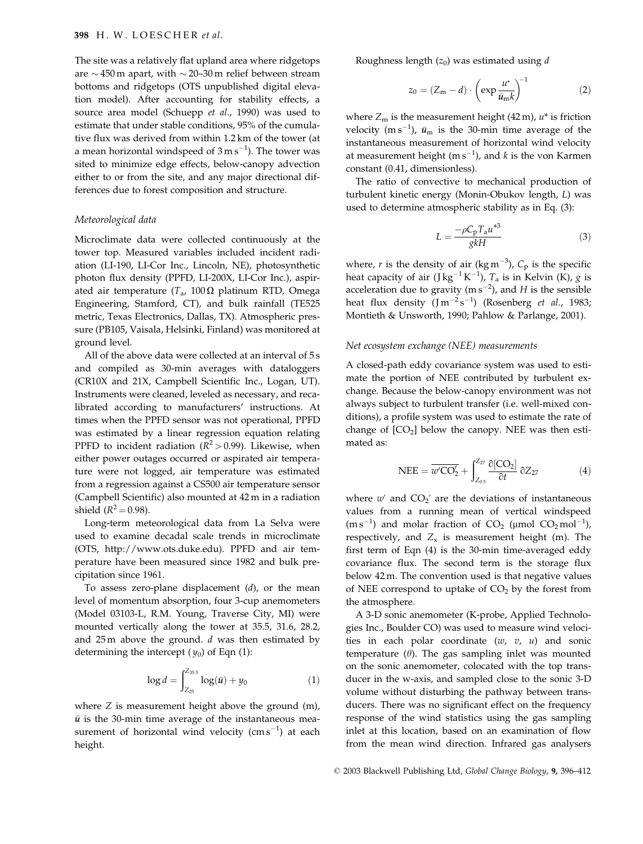The site was a relatively flat upland area where ridgetops are  $\sim$  450 m apart, with  $\sim$  20–30 m relief between stream bottoms and ridgetops (OTS unpublished digital elevation model). After accounting for stability effects, a source area model (Schuepp et al., 1990) was used to estimate that under stable conditions, 95% of the cumulative flux was derived from within 1.2 km of the tower (at a mean horizontal windspeed of  $3 \text{ m s}^{-1}$ ). The tower was sited to minimize edge effects, below-canopy advection either to or from the site, and any major directional differences due to forest composition and structure.

# Meteorological data

Microclimate data were collected continuously at the tower top. Measured variables included incident radiation (LI-190, LI-Cor Inc., Lincoln, NE), photosynthetic photon flux density (PPFD, LI-200X, LI-Cor Inc.), aspirated air temperature ( $T_a$ , 100 $\Omega$  platinum RTD, Omega Engineering, Stamford, CT), and bulk rainfall (TE525 metric, Texas Electronics, Dallas, TX). Atmospheric pressure (PB105, Vaisala, Helsinki, Finland) was monitored at ground level.

All of the above data were collected at an interval of 5s and compiled as 30-min averages with dataloggers (CR10X and 21X, Campbell Scientific Inc., Logan, UT). Instruments were cleaned, leveled as necessary, and recalibrated according to manufacturers' instructions. At times when the PPFD sensor was not operational, PPFD was estimated by a linear regression equation relating PPFD to incident radiation ( $R^2 > 0.99$ ). Likewise, when either power outages occurred or aspirated air temperature were not logged, air temperature was estimated from a regression against a CS500 air temperature sensor (Campbell Scientific) also mounted at 42 m in a radiation shield ( $R^2 = 0.98$ ).

Long-term meteorological data from La Selva were used to examine decadal scale trends in microclimate (OTS, http://www.ots.duke.edu). PPFD and air temperature have been measured since 1982 and bulk precipitation since 1961.

To assess zero-plane displacement  $(d)$ , or the mean level of momentum absorption, four 3-cup anemometers (Model 03103-L, R.M. Young, Traverse City, MI) were mounted vertically along the tower at 35.5, 31.6, 28.2, and  $25 \text{ m}$  above the ground.  $d$  was then estimated by determining the intercept  $(y_0)$  of Eqn (1):

$$
\log d = \int_{Z_{25}}^{Z_{355}} \log(\bar{u}) + y_0 \tag{1}
$$

where  $Z$  is measurement height above the ground  $(m)$ ,  $\bar{u}$  is the 30-min time average of the instantaneous measurement of horizontal wind velocity  $\rm (cm\,s^{-1})$  at each height.

Roughness length  $(z_0)$  was estimated using d

$$
z_0 = (Z_m - d) \cdot \left(\exp \frac{u^*}{\bar{u}_m k}\right)^{-1} \tag{2}
$$

where  $Z_m$  is the measurement height (42 m),  $u^*$  is friction velocity (m s<sup>-1</sup>),  $\bar{u}_m$  is the 30-min time average of the instantaneous measurement of horizontal wind velocity at measurement height (m  $s^{-1}$ ), and  $k$  is the von Karmen constant (0.41, dimensionless).

The ratio of convective to mechanical production of turbulent kinetic energy (Monin-Obukov length, L) was used to determine atmospheric stability as in Eq. (3):

$$
L = \frac{-\rho C_{\rm p} T_{\rm a} u^{*3}}{g k H} \tag{3}
$$

where, r is the density of air (kg m<sup>-3</sup>),  $C_p$  is the specific heat capacity of air (J kg<sup>-1</sup> K<sup>-1</sup>),  $T_a$  is in Kelvin (K), g is acceleration due to gravity ( $\text{m s}^{-2}$ ), and H is the sensible heat flux density  $(\text{J} \text{ m}^{-2} \text{s}^{-1})$  (Rosenberg *et al.*, 1983; Montieth & Unsworth, 1990; Pahlow & Parlange, 2001).

#### Net ecosystem exchange (NEE) measurements

A closed-path eddy covariance system was used to estimate the portion of NEE contributed by turbulent exchange. Because the below-canopy environment was not always subject to turbulent transfer (i.e. well-mixed conditions), a profile system was used to estimate the rate of change of  $[CO<sub>2</sub>]$  below the canopy. NEE was then estimated as:

$$
NEE = \overline{w'CO_2'} + \int_{Z_{0.5}}^{Z_{27}} \frac{\partial [CO_2]}{\partial t} \, \partial Z_{27}
$$
 (4)

where  $w'$  and  $CO_2'$  are the deviations of instantaneous values from a running mean of vertical windspeed  $(m s^{-1})$  and molar fraction of CO<sub>2</sub> (µmol CO<sub>2</sub> mol<sup>-1</sup>), respectively, and  $Z_x$  is measurement height (m). The first term of Eqn (4) is the 30-min time-averaged eddy covariance flux. The second term is the storage flux below 42 m. The convention used is that negative values of NEE correspond to uptake of  $CO<sub>2</sub>$  by the forest from the atmosphere.

A 3-D sonic anemometer (K-probe, Applied Technologies Inc., Boulder CO) was used to measure wind velocities in each polar coordinate  $(w, v, u)$  and sonic temperature  $(\theta)$ . The gas sampling inlet was mounted on the sonic anemometer, colocated with the top transducer in the w-axis, and sampled close to the sonic 3-D volume without disturbing the pathway between transducers. There was no significant effect on the frequency response of the wind statistics using the gas sampling inlet at this location, based on an examination of flow from the mean wind direction. Infrared gas analysers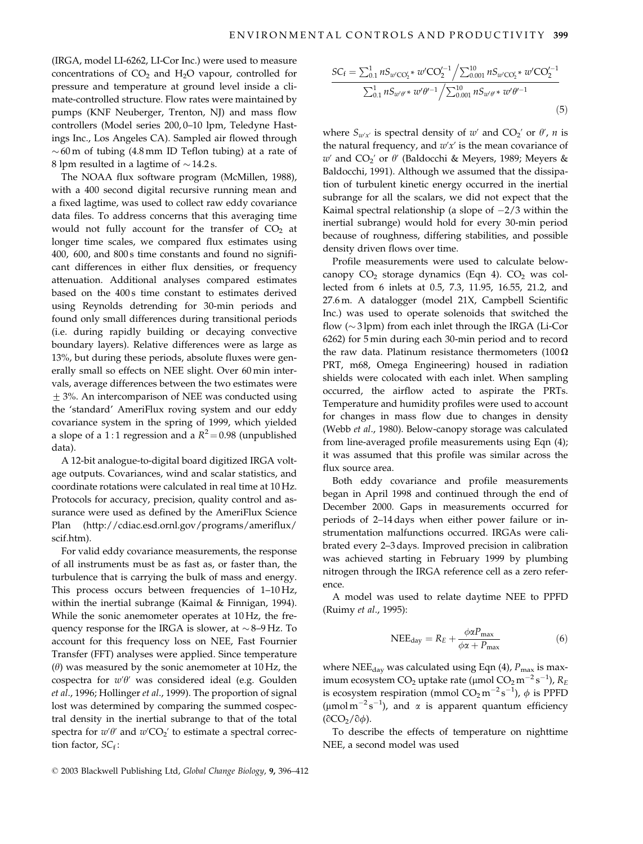(IRGA, model LI-6262, LI-Cor Inc.) were used to measure concentrations of  $CO<sub>2</sub>$  and  $H<sub>2</sub>O$  vapour, controlled for pressure and temperature at ground level inside a climate-controlled structure. Flow rates were maintained by pumps (KNF Neuberger, Trenton, NJ) and mass flow controllers (Model series 200,0-10 lpm, Teledyne Hastings Inc., Los Angeles CA). Sampled air flowed through  $\sim$  60 m of tubing (4.8 mm ID Teflon tubing) at a rate of 8 lpm resulted in a lagtime of  $\sim$  14.2 s.

The NOAA flux software program (McMillen, 1988), with a 400 second digital recursive running mean and a fixed lagtime, was used to collect raw eddy covariance data files. To address concerns that this averaging time would not fully account for the transfer of  $CO<sub>2</sub>$  at longer time scales, we compared flux estimates using 400, 600, and 800s time constants and found no significant differences in either flux densities, or frequency attenuation. Additional analyses compared estimates based on the 400s time constant to estimates derived using Reynolds detrending for 30-min periods and found only small differences during transitional periods (i.e. during rapidly building or decaying convective boundary layers). Relative differences were as large as 13%, but during these periods, absolute fluxes were generally small so effects on NEE slight. Over 60 min intervals, average differences between the two estimates were  $\pm$  3%. An intercomparison of NEE was conducted using the 'standard' AmeriFlux roving system and our eddy covariance system in the spring of 1999, which yielded a slope of a 1:1 regression and a  $R^2 = 0.98$  (unpublished data).

A 12-bit analogue-to-digital board digitized IRGA voltage outputs. Covariances, wind and scalar statistics, and coordinate rotations were calculated in real time at 10 Hz. Protocols for accuracy, precision, quality control and assurance were used as defined by the AmeriFlux Science Plan (http://cdiac.esd.ornl.gov/programs/ameriflux/ scif.htm).

For valid eddy covariance measurements, the response of all instruments must be as fast as, or faster than, the turbulence that is carrying the bulk of mass and energy. This process occurs between frequencies of 1-10 Hz, within the inertial subrange (Kaimal & Finnigan, 1994). While the sonic anemometer operates at 10 Hz, the frequency response for the IRGA is slower, at  $\sim$  8–9 Hz. To account for this frequency loss on NEE, Fast Fournier Transfer (FFT) analyses were applied. Since temperature  $(\theta)$  was measured by the sonic anemometer at 10 Hz, the cospectra for  $w'\theta'$  was considered ideal (e.g. Goulden et al., 1996; Hollinger et al., 1999). The proportion of signal lost was determined by comparing the summed cospectral density in the inertial subrange to that of the total spectra for  $w'\theta'$  and  $w'CO<sub>2</sub>'$  to estimate a spectral correction factor,  $SC_f$ :

$$
\frac{SC_f = \sum_{0.1}^1 nS_{w'CO_2'} * w'CO_2'^{-1} / \sum_{0.001}^{10} nS_{w'CO_2'} * w'CO_2'^{-1}}{\sum_{0.1}^1 nS_{w'\theta'} * w'\theta'^{-1} / \sum_{0.001}^{10} nS_{w'\theta'} * w'\theta'^{-1}}
$$
\n(5)

where  $S_{w'x'}$  is spectral density of w' and  $CO_2'$  or  $\theta'$ , n is the natural frequency, and  $w'x'$  is the mean covariance of w' and  $CO_2'$  or  $\theta'$  (Baldocchi & Meyers, 1989; Meyers & Baldocchi, 1991). Although we assumed that the dissipation of turbulent kinetic energy occurred in the inertial subrange for all the scalars, we did not expect that the Kaimal spectral relationship (a slope of  $-2/3$  within the inertial subrange) would hold for every 30-min period because of roughness, differing stabilities, and possible density driven flows over time.

Profile measurements were used to calculate belowcanopy  $CO<sub>2</sub>$  storage dynamics (Eqn 4).  $CO<sub>2</sub>$  was collected from 6 inlets at 0.5, 7.3, 11.95, 16.55, 21.2, and 27.6 m. A datalogger (model 21X, Campbell Scientific Inc.) was used to operate solenoids that switched the flow  $(\sim 3 \text{ lpm})$  from each inlet through the IRGA (Li-Cor 6262) for 5 min during each 30-min period and to record the raw data. Platinum resistance thermometers  $(100 \Omega)$ PRT, m68, Omega Engineering) housed in radiation shields were colocated with each inlet. When sampling occurred, the airflow acted to aspirate the PRTs. Temperature and humidity profiles were used to account for changes in mass flow due to changes in density (Webb et al., 1980). Below-canopy storage was calculated from line-averaged profile measurements using Eqn (4); it was assumed that this profile was similar across the flux source area.

Both eddy covariance and profile measurements began in April 1998 and continued through the end of December 2000. Gaps in measurements occurred for periods of 2-14 days when either power failure or instrumentation malfunctions occurred. IRGAs were calibrated every 2-3 days. Improved precision in calibration was achieved starting in February 1999 by plumbing nitrogen through the IRGA reference cell as a zero reference.

A model was used to relate daytime NEE to PPFD (Ruimy et al., 1995):

$$
NEE_{day} = R_E + \frac{\phi \alpha P_{\text{max}}}{\phi \alpha + P_{\text{max}}} \tag{6}
$$

where NEE<sub>day</sub> was calculated using Eqn (4),  $P_{\text{max}}$  is maximum ecosystem CO<sub>2</sub> uptake rate (µmol CO<sub>2</sub> m<sup>-2</sup> s<sup>-1</sup>),  $R_E$ is ecosystem respiration (mmol  $CO_2 m^{-2} s^{-1}$ ),  $\phi$  is PPFD (µmol m<sup>-2</sup>s<sup>-1</sup>), and  $\alpha$  is apparent quantum efficiency  $(\partial CO_2 / \partial \phi)$ .

To describe the effects of temperature on nighttime NEE, a second model was used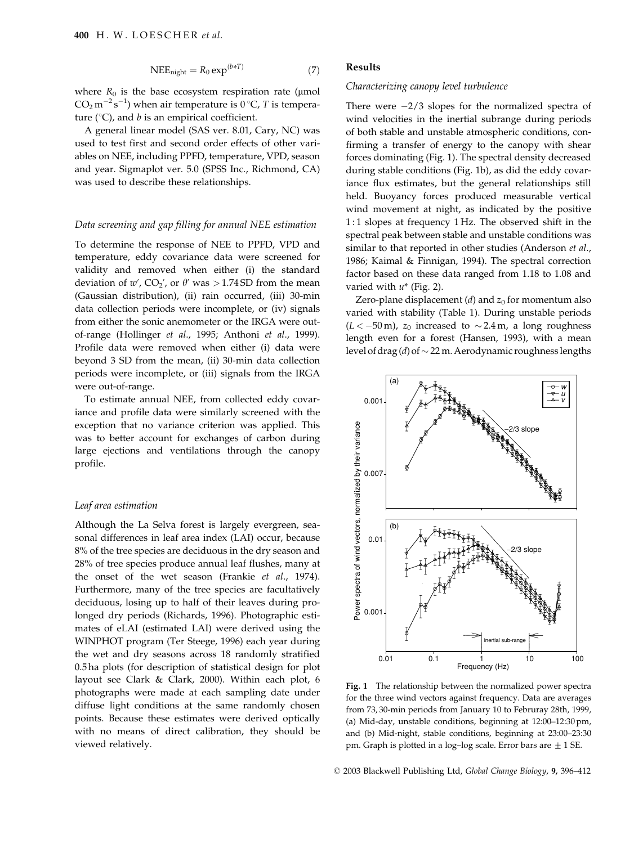$$
NEE_{night} = R_0 \exp^{(b*T)} \tag{7}
$$

where  $R_0$  is the base ecosystem respiration rate (µmol  $CO<sub>2</sub> m<sup>-2</sup> s<sup>-1</sup>$ ) when air temperature is 0 °C, T is temperature ( ${}^{\circ}$ C), and *b* is an empirical coefficient.

A general linear model (SAS ver. 8.01, Cary, NC) was used to test first and second order effects of other variables on NEE, including PPFD, temperature, VPD, season and year. Sigmaplot ver. 5.0 (SPSS Inc., Richmond, CA) was used to describe these relationships.

# Data screening and gap filling for annual NEE estimation

To determine the response of NEE to PPFD, VPD and temperature, eddy covariance data were screened for validity and removed when either (i) the standard deviation of  $w'$ ,  $CO_2'$ , or  $\theta'$  was > 1.74 SD from the mean (Gaussian distribution), (ii) rain occurred, (iii) 30-min data collection periods were incomplete, or (iv) signals from either the sonic anemometer or the IRGA were outof-range (Hollinger et al., 1995; Anthoni et al., 1999). Profile data were removed when either (i) data were beyond 3 SD from the mean, (ii) 30-min data collection periods were incomplete, or (iii) signals from the IRGA were out-of-range.

To estimate annual NEE, from collected eddy covariance and profile data were similarly screened with the exception that no variance criterion was applied. This was to better account for exchanges of carbon during large ejections and ventilations through the canopy profile.

### Leaf area estimation

Although the La Selva forest is largely evergreen, seasonal differences in leaf area index (LAI) occur, because 8% of the tree species are deciduous in the dry season and 28% of tree species produce annual leaf flushes, many at the onset of the wet season (Frankie et al., 1974). Furthermore, many of the tree species are facultatively deciduous, losing up to half of their leaves during prolonged dry periods (Richards, 1996). Photographic estimates of eLAI (estimated LAI) were derived using the WINPHOT program (Ter Steege, 1996) each year during the wet and dry seasons across 18 randomly stratified 0.5 ha plots (for description of statistical design for plot layout see Clark & Clark, 2000). Within each plot, 6 photographs were made at each sampling date under diffuse light conditions at the same randomly chosen points. Because these estimates were derived optically with no means of direct calibration, they should be viewed relatively.

# **Results**

## Characterizing canopy level turbulence

There were  $-2/3$  slopes for the normalized spectra of wind velocities in the inertial subrange during periods of both stable and unstable atmospheric conditions, confirming a transfer of energy to the canopy with shear forces dominating (Fig. 1). The spectral density decreased during stable conditions (Fig. 1b), as did the eddy covariance flux estimates, but the general relationships still held. Buoyancy forces produced measurable vertical wind movement at night, as indicated by the positive 1:1 slopes at frequency 1 Hz. The observed shift in the spectral peak between stable and unstable conditions was similar to that reported in other studies (Anderson et al., 1986; Kaimal & Finnigan, 1994). The spectral correction factor based on these data ranged from 1.18 to 1.08 and varied with  $u^*$  (Fig. 2).

Zero-plane displacement ( $d$ ) and  $z_0$  for momentum also varied with stability (Table 1). During unstable periods  $(L < -50 \,\mathrm{m})$ ,  $z_0$  increased to  $\sim 2.4 \,\mathrm{m}$ , a long roughness length even for a forest (Hansen, 1993), with a mean level of drag (d) of  $\sim$  22 m. Aerodynamic roughness lengths



Fig. 1 The relationship between the normalized power spectra for the three wind vectors against frequency. Data are averages from 73,30-min periods from January 10 to Februray 28th, 1999, (a) Mid-day, unstable conditions, beginning at 12:00-12:30 pm, and (b) Mid-night, stable conditions, beginning at 23:00-23:30 pm. Graph is plotted in a log-log scale. Error bars are  $\pm$  1 SE.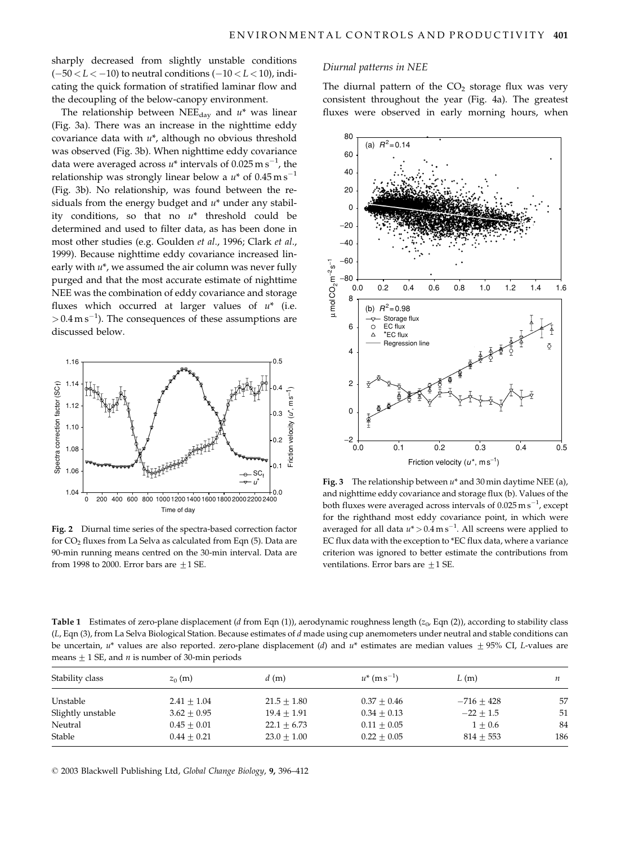sharply decreased from slightly unstable conditions  $(-50 < L < -10)$  to neutral conditions  $(-10 < L < 10)$ , indicating the quick formation of stratified laminar flow and the decoupling of the below-canopy environment.

The relationship between  $NEE_{day}$  and  $u^*$  was linear (Fig. 3a). There was an increase in the nighttime eddy covariance data with  $u^*$ , although no obvious threshold was observed (Fig. 3b). When nighttime eddy covariance data were averaged across  $u^*$  intervals of 0.025 m s<sup>-1</sup>, the relationship was strongly linear below a  $u^*$  of  $0.45 \text{ m s}^{-1}$ (Fig. 3b). No relationship, was found between the residuals from the energy budget and  $u^*$  under any stability conditions, so that no  $u^*$  threshold could be determined and used to filter data, as has been done in most other studies (e.g. Goulden et al., 1996; Clark et al., 1999). Because nighttime eddy covariance increased linearly with  $u^*$ , we assumed the air column was never fully purged and that the most accurate estimate of nighttime NEE was the combination of eddy covariance and storage fluxes which occurred at larger values of  $u^*$  (i.e.  $> 0.4 \text{ m s}^{-1}$ ). The consequences of these assumptions are discussed below.



Fig. 2 Diurnal time series of the spectra-based correction factor for CO<sub>2</sub> fluxes from La Selva as calculated from Eqn (5). Data are 90-min running means centred on the 30-min interval. Data are from 1998 to 2000. Error bars are  $\pm$  1 SE.

#### Diurnal patterns in NEE

The diurnal pattern of the  $CO<sub>2</sub>$  storage flux was very consistent throughout the year (Fig. 4a). The greatest fluxes were observed in early morning hours, when



Fig. 3 The relationship between  $u^*$  and 30 min daytime NEE (a), and nighttime eddy covariance and storage flux (b). Values of the both fluxes were averaged across intervals of  $0.025 \text{ m s}^{-1}$ , except for the righthand most eddy covariance point, in which were averaged for all data  $u^* > 0.4 \text{ m s}^{-1}$ . All screens were applied to EC flux data with the exception to \*EC flux data, where a variance criterion was ignored to better estimate the contributions from ventilations. Error bars are  $\pm 1$  SE.

Table 1 Estimates of zero-plane displacement (d from Eqn (1)), aerodynamic roughness length ( $z_0$ , Eqn (2)), according to stability class (L, Eqn (3), from La Selva Biological Station. Because estimates of d made using cup anemometers under neutral and stable conditions can be uncertain,  $u^*$  values are also reported. zero-plane displacement (d) and  $u^*$  estimates are median values  $\pm$  95% CI, L-values are means  $\pm$  1 SE, and *n* is number of 30-min periods

| Stability class   | $z_0$ (m)     | d(m)            | $u^*$ (m s <sup>-1</sup> ) | L(m)          |     |
|-------------------|---------------|-----------------|----------------------------|---------------|-----|
| Unstable          | $2.41 + 1.04$ | $21.5 + 1.80$   | $0.37 + 0.46$              | $-716+428$    | 57  |
| Slightly unstable | $3.62 + 0.95$ | $19.4 \pm 1.91$ | $0.34 \pm 0.13$            | $-22 \pm 1.5$ | 51  |
| Neutral           | $0.45 + 0.01$ | $22.1 + 6.73$   | $0.11 + 0.05$              | $1 + 0.6$     | 84  |
| Stable            | $0.44 + 0.21$ | $23.0 + 1.00$   | $0.22 \pm 0.05$            | $814 + 553$   | 186 |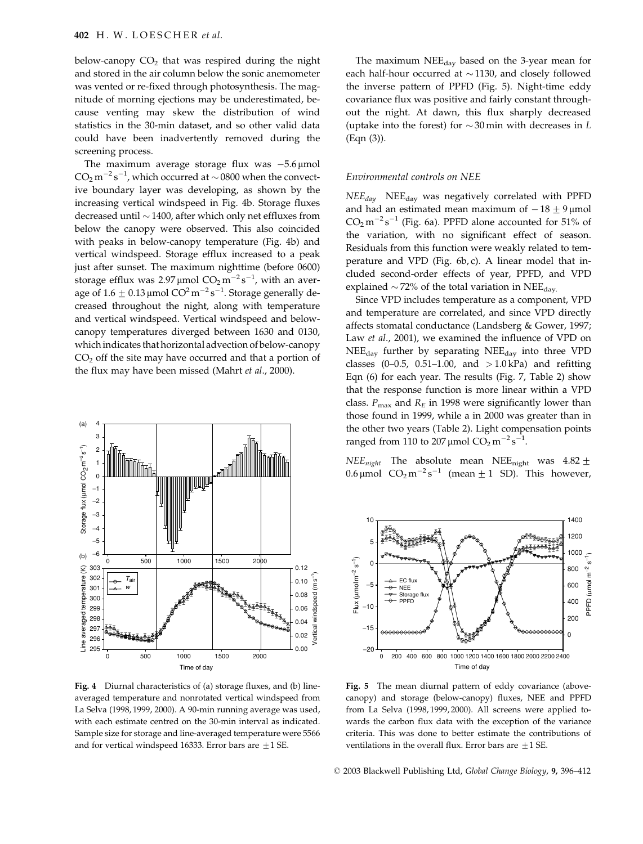below-canopy  $CO<sub>2</sub>$  that was respired during the night and stored in the air column below the sonic anemometer was vented or re-fixed through photosynthesis. The magnitude of morning ejections may be underestimated, because venting may skew the distribution of wind statistics in the 30-min dataset, and so other valid data could have been inadvertently removed during the screening process.

The maximum average storage flux was  $-5.6 \mu$ mol  $CO<sub>2</sub>$  m<sup>-2</sup> s<sup>-1</sup>, which occurred at  $\sim$  0800 when the convective boundary layer was developing, as shown by the increasing vertical windspeed in Fig. 4b. Storage fluxes decreased until  $\sim$  1400, after which only net effluxes from below the canopy were observed. This also coincided with peaks in below-canopy temperature (Fig. 4b) and vertical windspeed. Storage efflux increased to a peak just after sunset. The maximum nighttime (before 0600) storage efflux was 2.97 µmol  $CO_2 m^{-2} s^{-1}$ , with an average of  $1.6 \pm 0.13 \,\mathrm{\mu}$ mol CO<sup>2</sup> m<sup>-2</sup> s<sup>-1</sup>. Storage generally decreased throughout the night, along with temperature and vertical windspeed. Vertical windspeed and belowcanopy temperatures diverged between 1630 and 0130, which indicates that horizontal advection of below-canopy  $CO<sub>2</sub>$  off the site may have occurred and that a portion of the flux may have been missed (Mahrt et al., 2000).



Fig. 4 Diurnal characteristics of (a) storage fluxes, and (b) lineaveraged temperature and nonrotated vertical windspeed from La Selva (1998, 1999, 2000). A 90-min running average was used, with each estimate centred on the 30-min interval as indicated. Sample size for storage and line-averaged temperature were 5566 and for vertical windspeed 16333. Error bars are  $\pm$  1 SE.

The maximum NEE<sub>day</sub> based on the 3-year mean for each half-hour occurred at  $\sim$  1130, and closely followed the inverse pattern of PPFD (Fig. 5). Night-time eddy covariance flux was positive and fairly constant throughout the night. At dawn, this flux sharply decreased (uptake into the forest) for  $\sim$  30 min with decreases in L  $(Eqn (3)).$ 

## Environmental controls on NEE

 $NEE_{day}$  NEE<sub>day</sub> was negatively correlated with PPFD and had an estimated mean maximum of  $-18 \pm 9$  µmol  $CO<sub>2</sub> m<sup>-2</sup> s<sup>-1</sup>$  (Fig. 6a). PPFD alone accounted for 51% of the variation, with no significant effect of season. Residuals from this function were weakly related to temperature and VPD (Fig. 6b, c). A linear model that included second-order effects of year, PPFD, and VPD explained  $\sim$  72% of the total variation in NEE<sub>day</sub>

Since VPD includes temperature as a component, VPD and temperature are correlated, and since VPD directly affects stomatal conductance (Landsberg & Gower, 1997; Law et al., 2001), we examined the influence of VPD on  $NEE_{\text{day}}$  further by separating  $NEE_{\text{day}}$  into three VPD classes  $(0-0.5, 0.51-1.00,$  and  $>1.0$  kPa) and refitting Eqn (6) for each year. The results (Fig. 7, Table 2) show that the response function is more linear within a VPD class.  $P_{\text{max}}$  and  $R_E$  in 1998 were significantly lower than those found in 1999, while a in 2000 was greater than in the other two years (Table 2). Light compensation points ranged from 110 to 207 µmol  $CO_2 m^{-2} s^{-1}$ .

 $NEE_{night}$  The absolute mean NEE<sub>night</sub> was 4.82  $\pm$ 0.6 µmol  $CO<sub>2</sub> m<sup>-2</sup> s<sup>-1</sup>$  (mean  $\pm$  1 SD). This however,



Fig. 5 The mean diurnal pattern of eddy covariance (abovecanopy) and storage (below-canopy) fluxes, NEE and PPFD from La Selva (1998, 1999, 2000). All screens were applied towards the carbon flux data with the exception of the variance criteria. This was done to better estimate the contributions of ventilations in the overall flux. Error bars are  $\pm$  1 SE.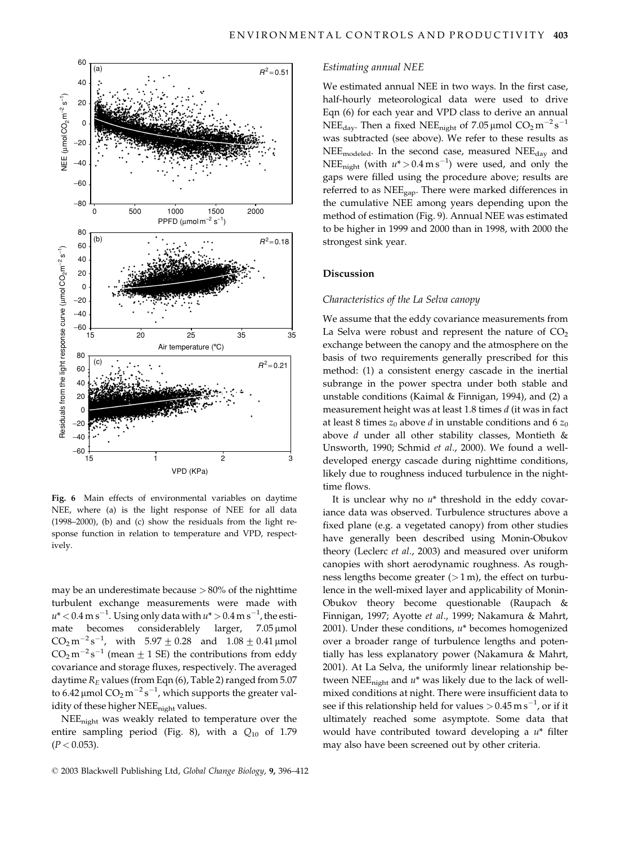

Fig. 6 Main effects of environmental variables on daytime NEE, where (a) is the light response of NEE for all data (1998-2000), (b) and (c) show the residuals from the light response function in relation to temperature and VPD, respectively.

may be an underestimate because  $> 80\%$  of the nighttime turbulent exchange measurements were made with  $u^*$  < 0.4 m s<sup>-1</sup>. Using only data with  $u^*$  > 0.4 m s<sup>-1</sup>, the esticonsiderablely larger, mate becomes  $7.05 \mu$ mol  $CO_2 m^{-2} s^{-1}$ , with  $5.97 \pm 0.28$  and  $1.08 \pm 0.41$  µmol  $CO<sub>2</sub> m<sup>-2</sup> s<sup>-1</sup>$  (mean  $\pm$  1 SE) the contributions from eddy covariance and storage fluxes, respectively. The averaged daytime  $R_E$  values (from Eqn (6), Table 2) ranged from 5.07 to 6.42 µmol  $CO_2 m^{-2} s^{-1}$ , which supports the greater validity of these higher NEE<sub>night</sub> values.

NEE<sub>night</sub> was weakly related to temperature over the entire sampling period (Fig. 8), with a  $Q_{10}$  of 1.79  $(P < 0.053)$ .

#### Estimating annual NEE

We estimated annual NEE in two ways. In the first case, half-hourly meteorological data were used to drive Eqn (6) for each year and VPD class to derive an annual NEE<sub>day</sub>. Then a fixed NEE<sub>night</sub> of 7.05 µmol  $CO_2 m^{-2} s^{-1}$ was subtracted (see above). We refer to these results as NEE<sub>modeled</sub>. In the second case, measured NEE<sub>dav</sub> and NEE<sub>night</sub> (with  $u^* > 0.4 \text{ m s}^{-1}$ ) were used, and only the gaps were filled using the procedure above; results are referred to as  $NEE_{gap}$ . There were marked differences in the cumulative NEE among years depending upon the method of estimation (Fig. 9). Annual NEE was estimated to be higher in 1999 and 2000 than in 1998, with 2000 the strongest sink year.

# **Discussion**

## Characteristics of the La Selva canopy

We assume that the eddy covariance measurements from La Selva were robust and represent the nature of  $CO<sub>2</sub>$ exchange between the canopy and the atmosphere on the basis of two requirements generally prescribed for this method: (1) a consistent energy cascade in the inertial subrange in the power spectra under both stable and unstable conditions (Kaimal & Finnigan, 1994), and (2) a measurement height was at least 1.8 times d (it was in fact at least 8 times  $z_0$  above d in unstable conditions and 6  $z_0$ above  $d$  under all other stability classes, Montieth  $\&$ Unsworth, 1990; Schmid et al., 2000). We found a welldeveloped energy cascade during nighttime conditions, likely due to roughness induced turbulence in the nighttime flows.

It is unclear why no  $u^*$  threshold in the eddy covariance data was observed. Turbulence structures above a fixed plane (e.g. a vegetated canopy) from other studies have generally been described using Monin-Obukov theory (Leclerc et al., 2003) and measured over uniform canopies with short aerodynamic roughness. As roughness lengths become greater  $(>1 \text{ m})$ , the effect on turbulence in the well-mixed layer and applicability of Monin-Obukov theory become questionable (Raupach & Finnigan, 1997; Ayotte et al., 1999; Nakamura & Mahrt, 2001). Under these conditions,  $u^*$  becomes homogenized over a broader range of turbulence lengths and potentially has less explanatory power (Nakamura & Mahrt, 2001). At La Selva, the uniformly linear relationship between NEE<sub>night</sub> and  $u^*$  was likely due to the lack of wellmixed conditions at night. There were insufficient data to see if this relationship held for values  $> 0.45 \text{ m s}^{-1}$ , or if it ultimately reached some asymptote. Some data that would have contributed toward developing a  $u^*$  filter may also have been screened out by other criteria.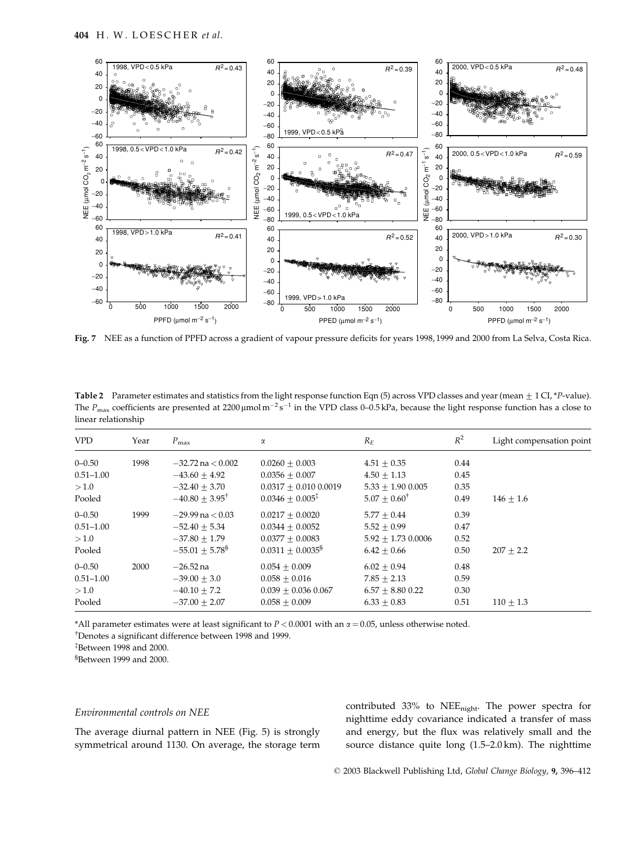

Fig. 7 NEE as a function of PPFD across a gradient of vapour pressure deficits for years 1998, 1999 and 2000 from La Selva, Costa Rica.

Table 2 Parameter estimates and statistics from the light response function Eqn (5) across VPD classes and year (mean  $\pm$  1 CI, \*P-value). The  $P_{\text{max}}$  coefficients are presented at 2200 µmol m<sup>-2</sup>s<sup>-1</sup> in the VPD class 0-0.5 kPa, because the light response function has a close to linear relationship

| <b>VPD</b>                                    | Year | $P_{\text{max}}$                                                                           | $\alpha$                                                                                       | $R_E$                                                                            | $R^2$                        | Light compensation point |
|-----------------------------------------------|------|--------------------------------------------------------------------------------------------|------------------------------------------------------------------------------------------------|----------------------------------------------------------------------------------|------------------------------|--------------------------|
| $0 - 0.50$<br>$0.51 - 1.00$<br>>1.0<br>Pooled | 1998 | $-32.72$ na $< 0.002$<br>$-43.60 + 4.92$<br>$-32.40 + 3.70$<br>$-40.80 \pm 3.95^{\dagger}$ | $0.0260 + 0.003$<br>$0.0356 + 0.007$<br>$0.0317 + 0.010 0.0019$<br>$0.0346 + 0.005^{\ddagger}$ | $4.51 + 0.35$<br>$4.50 + 1.13$<br>$5.33 + 1.90$ 0.005<br>$5.07 + 0.60^{\dagger}$ | 0.44<br>0.45<br>0.35<br>0.49 | $146 + 1.6$              |
| $0 - 0.50$<br>$0.51 - 1.00$<br>>1.0<br>Pooled | 1999 | $-29.99$ na $< 0.03$<br>$-52.40 + 5.34$<br>$-37.80 + 1.79$<br>$-55.01 \pm 5.78^{\$}$       | $0.0217 + 0.0020$<br>$0.0344 + 0.0052$<br>$0.0377 + 0.0083$<br>$0.0311 + 0.0035^8$             | $5.77 + 0.44$<br>$5.52 + 0.99$<br>$5.92 + 1.73$ 0.0006<br>$6.42 + 0.66$          | 0.39<br>0.47<br>0.52<br>0.50 | $207 + 2.2$              |
| $0 - 0.50$<br>$0.51 - 1.00$<br>>1.0<br>Pooled | 2000 | $-26.52$ na<br>$-39.00 + 3.0$<br>$-40.10 + 7.2$<br>$-37.00 + 2.07$                         | $0.054 + 0.009$<br>$0.058 + 0.016$<br>$0.039 + 0.036 0.067$<br>$0.058 + 0.009$                 | $6.02 + 0.94$<br>$7.85 + 2.13$<br>$6.57 + 8.80$ 0.22<br>$6.33 + 0.83$            | 0.48<br>0.59<br>0.30<br>0.51 | $110 + 1.3$              |

\*All parameter estimates were at least significant to  $P < 0.0001$  with an  $\alpha = 0.05$ , unless otherwise noted.

<sup>†</sup>Denotes a significant difference between 1998 and 1999.

 $*$ Between 1998 and 2000.

<sup>§</sup>Between 1999 and 2000.

## Environmental controls on NEE

The average diurnal pattern in NEE (Fig. 5) is strongly symmetrical around 1130. On average, the storage term contributed 33% to NEE<sub>night</sub>. The power spectra for nighttime eddy covariance indicated a transfer of mass and energy, but the flux was relatively small and the source distance quite long  $(1.5-2.0 \text{ km})$ . The nighttime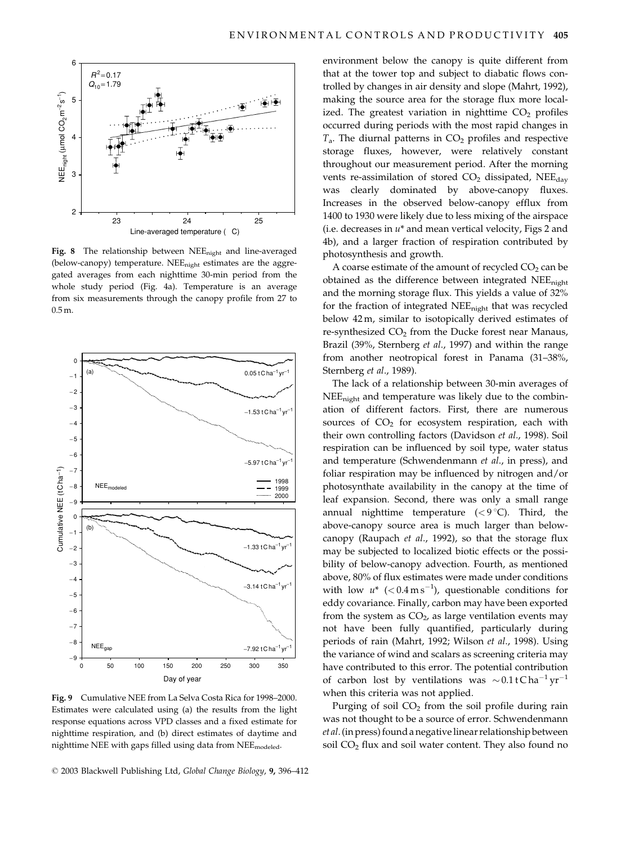

Fig. 8 The relationship between NEE<sub>night</sub> and line-averaged (below-canopy) temperature. NEE<sub>night</sub> estimates are the aggregated averages from each nighttime 30-min period from the whole study period (Fig. 4a). Temperature is an average from six measurements through the canopy profile from 27 to  $0.5<sub>m</sub>$ 



Fig. 9 Cumulative NEE from La Selva Costa Rica for 1998-2000. Estimates were calculated using (a) the results from the light response equations across VPD classes and a fixed estimate for nighttime respiration, and (b) direct estimates of daytime and nighttime NEE with gaps filled using data from NEE<sub>modeled</sub>.

© 2003 Blackwell Publishing Ltd, Global Change Biology, 9, 396-412

environment below the canopy is quite different from that at the tower top and subject to diabatic flows controlled by changes in air density and slope (Mahrt, 1992), making the source area for the storage flux more localized. The greatest variation in nighttime  $CO<sub>2</sub>$  profiles occurred during periods with the most rapid changes in  $T_a$ . The diurnal patterns in  $CO_2$  profiles and respective storage fluxes, however, were relatively constant throughout our measurement period. After the morning vents re-assimilation of stored  $CO<sub>2</sub>$  dissipated, NEE<sub>dav</sub> was clearly dominated by above-canopy fluxes. Increases in the observed below-canopy efflux from 1400 to 1930 were likely due to less mixing of the airspace (i.e. decreases in  $u^*$  and mean vertical velocity, Figs 2 and 4b), and a larger fraction of respiration contributed by photosynthesis and growth.

A coarse estimate of the amount of recycled  $CO<sub>2</sub>$  can be obtained as the difference between integrated NEE<sub>night</sub> and the morning storage flux. This yields a value of 32% for the fraction of integrated NEE<sub>night</sub> that was recycled below 42m, similar to isotopically derived estimates of re-synthesized  $CO<sub>2</sub>$  from the Ducke forest near Manaus, Brazil (39%, Sternberg et al., 1997) and within the range from another neotropical forest in Panama (31-38%, Sternberg et al., 1989).

The lack of a relationship between 30-min averages of NEE<sub>night</sub> and temperature was likely due to the combination of different factors. First, there are numerous sources of CO<sub>2</sub> for ecosystem respiration, each with their own controlling factors (Davidson et al., 1998). Soil respiration can be influenced by soil type, water status and temperature (Schwendenmann et al., in press), and foliar respiration may be influenced by nitrogen and/or photosynthate availability in the canopy at the time of leaf expansion. Second, there was only a small range annual nighttime temperature  $(< 9^{\circ}C)$ . Third, the above-canopy source area is much larger than belowcanopy (Raupach et al., 1992), so that the storage flux may be subjected to localized biotic effects or the possibility of below-canopy advection. Fourth, as mentioned above, 80% of flux estimates were made under conditions with low  $u^*$  (<0.4 m s<sup>-1</sup>), questionable conditions for eddy covariance. Finally, carbon may have been exported from the system as  $CO<sub>2</sub>$ , as large ventilation events may not have been fully quantified, particularly during periods of rain (Mahrt, 1992; Wilson et al., 1998). Using the variance of wind and scalars as screening criteria may have contributed to this error. The potential contribution of carbon lost by ventilations was  $\sim 0.1$  tCha<sup>-1</sup> yr<sup>-1</sup> when this criteria was not applied.

Purging of soil  $CO<sub>2</sub>$  from the soil profile during rain was not thought to be a source of error. Schwendenmann et al. (in press) found a negative linear relationship between soil CO<sub>2</sub> flux and soil water content. They also found no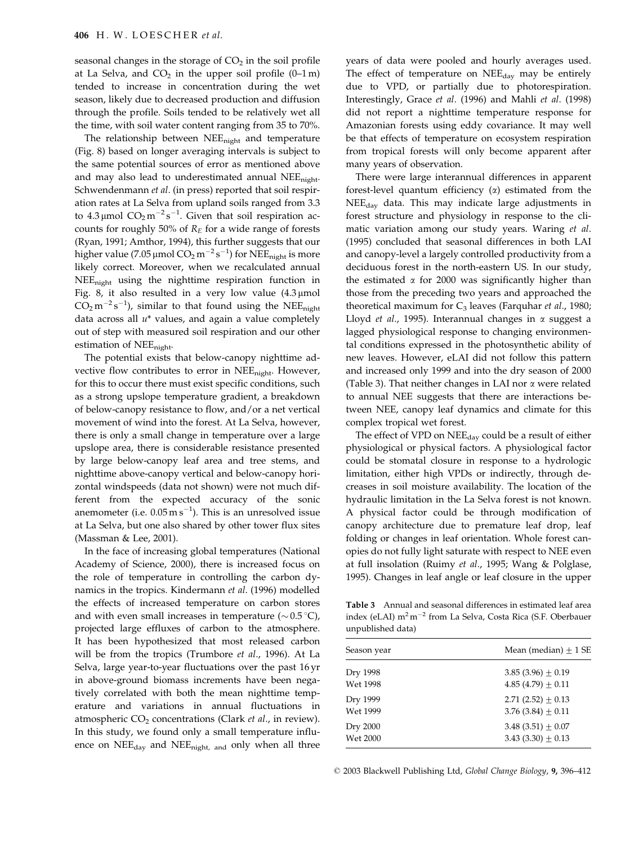seasonal changes in the storage of  $CO<sub>2</sub>$  in the soil profile at La Selva, and  $CO<sub>2</sub>$  in the upper soil profile (0-1 m) tended to increase in concentration during the wet season, likely due to decreased production and diffusion through the profile. Soils tended to be relatively wet all the time, with soil water content ranging from 35 to 70%.

The relationship between NEE<sub>night</sub> and temperature (Fig. 8) based on longer averaging intervals is subject to the same potential sources of error as mentioned above and may also lead to underestimated annual NEE<sub>night</sub>. Schwendenmann et al. (in press) reported that soil respiration rates at La Selva from upland soils ranged from 3.3 to  $4.3 \mu$ mol  $CO_2 m^{-2} s^{-1}$ . Given that soil respiration accounts for roughly 50% of  $R_E$  for a wide range of forests (Ryan, 1991; Amthor, 1994), this further suggests that our higher value (7.05 µmol  $CO_2 m^{-2} s^{-1}$ ) for NEE<sub>night</sub> is more likely correct. Moreover, when we recalculated annual  $NEE_{\text{night}}$  using the nighttime respiration function in Fig. 8, it also resulted in a very low value  $(4.3 \mu mol)$  $CO_2 m^{-2} s^{-1}$ , similar to that found using the NEE<sub>night</sub> data across all  $u^*$  values, and again a value completely out of step with measured soil respiration and our other estimation of  $NEE_{night}$ .

The potential exists that below-canopy nighttime advective flow contributes to error in NEE<sub>night</sub>. However, for this to occur there must exist specific conditions, such as a strong upslope temperature gradient, a breakdown of below-canopy resistance to flow, and/or a net vertical movement of wind into the forest. At La Selva, however, there is only a small change in temperature over a large upslope area, there is considerable resistance presented by large below-canopy leaf area and tree stems, and nighttime above-canopy vertical and below-canopy horizontal windspeeds (data not shown) were not much different from the expected accuracy of the sonic anemometer (i.e.  $0.05 \text{ m s}^{-1}$ ). This is an unresolved issue at La Selva, but one also shared by other tower flux sites (Massman & Lee, 2001).

In the face of increasing global temperatures (National Academy of Science, 2000), there is increased focus on the role of temperature in controlling the carbon dynamics in the tropics. Kindermann et al. (1996) modelled the effects of increased temperature on carbon stores and with even small increases in temperature ( $\sim 0.5$ °C), projected large effluxes of carbon to the atmosphere. It has been hypothesized that most released carbon will be from the tropics (Trumbore et al., 1996). At La Selva, large year-to-year fluctuations over the past 16 yr in above-ground biomass increments have been negatively correlated with both the mean nighttime temperature and variations in annual fluctuations in atmospheric CO<sub>2</sub> concentrations (Clark et al., in review). In this study, we found only a small temperature influence on NEE<sub>day</sub> and NEE<sub>night, and</sub> only when all three

years of data were pooled and hourly averages used. The effect of temperature on NEE<sub>day</sub> may be entirely due to VPD, or partially due to photorespiration. Interestingly, Grace et al. (1996) and Mahli et al. (1998) did not report a nighttime temperature response for Amazonian forests using eddy covariance. It may well be that effects of temperature on ecosystem respiration from tropical forests will only become apparent after many years of observation.

There were large interannual differences in apparent forest-level quantum efficiency  $(\alpha)$  estimated from the NEE<sub>day</sub> data. This may indicate large adjustments in forest structure and physiology in response to the climatic variation among our study years. Waring et al. (1995) concluded that seasonal differences in both LAI and canopy-level a largely controlled productivity from a deciduous forest in the north-eastern US. In our study, the estimated  $\alpha$  for 2000 was significantly higher than those from the preceding two years and approached the theoretical maximum for  $C_3$  leaves (Farquhar et al., 1980; Lloyd et al., 1995). Interannual changes in  $\alpha$  suggest a lagged physiological response to changing environmental conditions expressed in the photosynthetic ability of new leaves. However, eLAI did not follow this pattern and increased only 1999 and into the dry season of 2000 (Table 3). That neither changes in LAI nor  $\alpha$  were related to annual NEE suggests that there are interactions between NEE, canopy leaf dynamics and climate for this complex tropical wet forest.

The effect of VPD on  $NEE_{\text{day}}$  could be a result of either physiological or physical factors. A physiological factor could be stomatal closure in response to a hydrologic limitation, either high VPDs or indirectly, through decreases in soil moisture availability. The location of the hydraulic limitation in the La Selva forest is not known. A physical factor could be through modification of canopy architecture due to premature leaf drop, leaf folding or changes in leaf orientation. Whole forest canopies do not fully light saturate with respect to NEE even at full insolation (Ruimy et al., 1995; Wang & Polglase, 1995). Changes in leaf angle or leaf closure in the upper

Table 3 Annual and seasonal differences in estimated leaf area index (eLAI) m<sup>2</sup> m<sup>-2</sup> from La Selva, Costa Rica (S.F. Oberbauer unpublished data)

| Season year     | Mean (median) $+1$ SE  |
|-----------------|------------------------|
| Dry 1998        | 3.85 (3.96) $\pm$ 0.19 |
| <b>Wet 1998</b> | 4.85 (4.79) $\pm$ 0.11 |
| Dry 1999        | 2.71 (2.52) $\pm$ 0.13 |
| Wet 1999        | 3.76 (3.84) $\pm$ 0.11 |
| Dry 2000        | 3.48 $(3.51) \pm 0.07$ |
| <b>Wet 2000</b> | 3.43 $(3.30) \pm 0.13$ |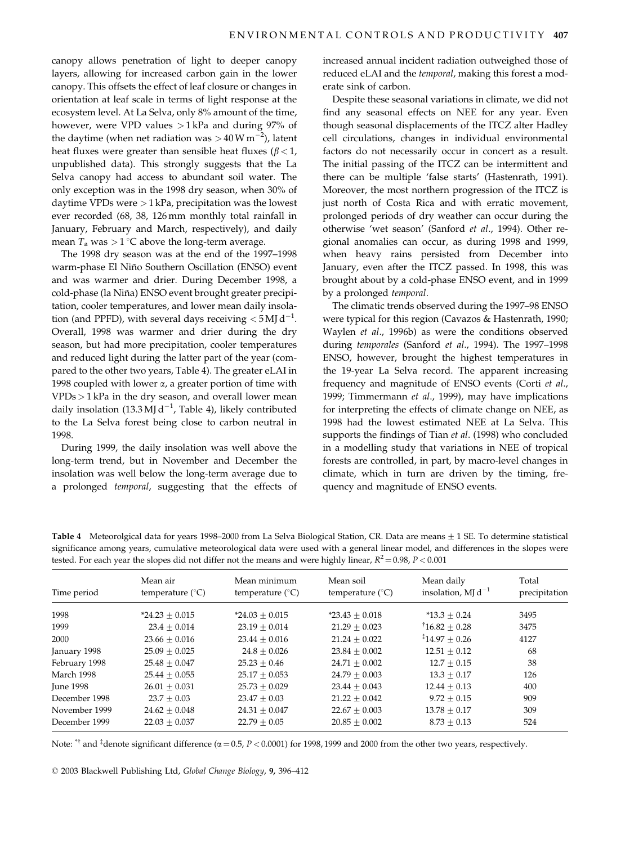canopy allows penetration of light to deeper canopy layers, allowing for increased carbon gain in the lower canopy. This offsets the effect of leaf closure or changes in orientation at leaf scale in terms of light response at the ecosystem level. At La Selva, only 8% amount of the time, however, were VPD values  $>1$  kPa and during 97% of the daytime (when net radiation was  $> 40 \,\mathrm{W m}^{-2}$ ), latent heat fluxes were greater than sensible heat fluxes ( $\beta$  < 1, unpublished data). This strongly suggests that the La Selva canopy had access to abundant soil water. The only exception was in the 1998 dry season, when 30% of daytime VPDs were  $>$  1 kPa, precipitation was the lowest ever recorded (68, 38, 126 mm monthly total rainfall in January, February and March, respectively), and daily mean  $T_a$  was  $> 1$  °C above the long-term average.

The 1998 dry season was at the end of the 1997-1998 warm-phase El Niño Southern Oscillation (ENSO) event and was warmer and drier. During December 1998, a cold-phase (la Niña) ENSO event brought greater precipitation, cooler temperatures, and lower mean daily insolation (and PPFD), with several days receiving  $<$  5 MJ d<sup>-1</sup>. Overall, 1998 was warmer and drier during the dry season, but had more precipitation, cooler temperatures and reduced light during the latter part of the year (compared to the other two years, Table 4). The greater eLAI in 1998 coupled with lower  $\alpha$ , a greater portion of time with  $VPDs > 1$  kPa in the dry season, and overall lower mean daily insolation  $(13.3 \,\mathrm{M} \mathrm{J} \mathrm{d}^{-1})$ , Table 4), likely contributed to the La Selva forest being close to carbon neutral in 1998.

During 1999, the daily insolation was well above the long-term trend, but in November and December the insolation was well below the long-term average due to a prolonged temporal, suggesting that the effects of increased annual incident radiation outweighed those of reduced eLAI and the temporal, making this forest a moderate sink of carbon.

Despite these seasonal variations in climate, we did not find any seasonal effects on NEE for any year. Even though seasonal displacements of the ITCZ alter Hadley cell circulations, changes in individual environmental factors do not necessarily occur in concert as a result. The initial passing of the ITCZ can be intermittent and there can be multiple 'false starts' (Hastenrath, 1991). Moreover, the most northern progression of the ITCZ is just north of Costa Rica and with erratic movement, prolonged periods of dry weather can occur during the otherwise 'wet season' (Sanford et al., 1994). Other regional anomalies can occur, as during 1998 and 1999, when heavy rains persisted from December into January, even after the ITCZ passed. In 1998, this was brought about by a cold-phase ENSO event, and in 1999 by a prolonged temporal.

The climatic trends observed during the 1997-98 ENSO were typical for this region (Cavazos & Hastenrath, 1990; Waylen et al., 1996b) as were the conditions observed during temporales (Sanford et al., 1994). The 1997-1998 ENSO, however, brought the highest temperatures in the 19-year La Selva record. The apparent increasing frequency and magnitude of ENSO events (Corti et al., 1999; Timmermann et al., 1999), may have implications for interpreting the effects of climate change on NEE, as 1998 had the lowest estimated NEE at La Selva. This supports the findings of Tian et al. (1998) who concluded in a modelling study that variations in NEE of tropical forests are controlled, in part, by macro-level changes in climate, which in turn are driven by the timing, frequency and magnitude of ENSO events.

| $\overline{ }$<br>$\mathbf{r}$ |                                       |                                           | $\cdots$                               |                                               |                        |  |  |
|--------------------------------|---------------------------------------|-------------------------------------------|----------------------------------------|-----------------------------------------------|------------------------|--|--|
| Time period                    | Mean air<br>temperature $(^{\circ}C)$ | Mean minimum<br>temperature $(^{\circ}C)$ | Mean soil<br>temperature $(^{\circ}C)$ | Mean daily<br>insolation, $M\mathrm{Id}^{-1}$ | Total<br>precipitation |  |  |
| 1998                           | $*24.23 \pm 0.015$                    | $*24.03 + 0.015$                          | $*23.43 + 0.018$                       | $*13.3 + 0.24$                                | 3495                   |  |  |
| 1999                           | $23.4 + 0.014$                        | $23.19 \pm 0.014$                         | $21.29 \pm 0.023$                      | $16.82 + 0.28$                                | 3475                   |  |  |
| 2000                           | $23.66 + 0.016$                       | $23.44 + 0.016$                           | $21.24 + 0.022$                        | $14.97 + 0.26$                                | 4127                   |  |  |
| January 1998                   | $25.09 \pm 0.025$                     | $24.8 + 0.026$                            | $23.84 + 0.002$                        | $12.51 + 0.12$                                | 68                     |  |  |
| February 1998                  | $25.48 + 0.047$                       | $25.23 + 0.46$                            | $24.71 + 0.002$                        | $12.7 + 0.15$                                 | 38                     |  |  |
| March 1998                     | $25.44 + 0.055$                       | $25.17 + 0.053$                           | $24.79 + 0.003$                        | $13.3 + 0.17$                                 | 126                    |  |  |
| <b>Iune 1998</b>               | $26.01 + 0.031$                       | $25.73 + 0.029$                           | $23.44 + 0.043$                        | $12.44 + 0.13$                                | 400                    |  |  |
| December 1998                  | $23.7 + 0.03$                         | $23.47 + 0.03$                            | $21.22 \pm 0.042$                      | $9.72 + 0.15$                                 | 909                    |  |  |
| November 1999                  | $24.62 + 0.048$                       | $24.31 + 0.047$                           | $22.67 + 0.003$                        | $13.78 + 0.17$                                | 309                    |  |  |
| December 1999                  | $22.03 + 0.037$                       | $22.79 + 0.05$                            | $20.85 + 0.002$                        | $8.73 + 0.13$                                 | 524                    |  |  |

Table 4 Meteorolgical data for years 1998–2000 from La Selva Biological Station, CR. Data are means  $\pm$  1 SE. To determine statistical significance among years, cumulative meteorological data were used with a general linear model, and differences in the slopes were tested. For each year the slopes did not differ not the means and were highly linear,  $R^2 = 0.98$ ,  $P < 0.001$ 

Note:  $*^{\dagger}$  and  $*^{\dagger}$  denote significant difference ( $\alpha$  = 0.5, P < 0.0001) for 1998, 1999 and 2000 from the other two years, respectively.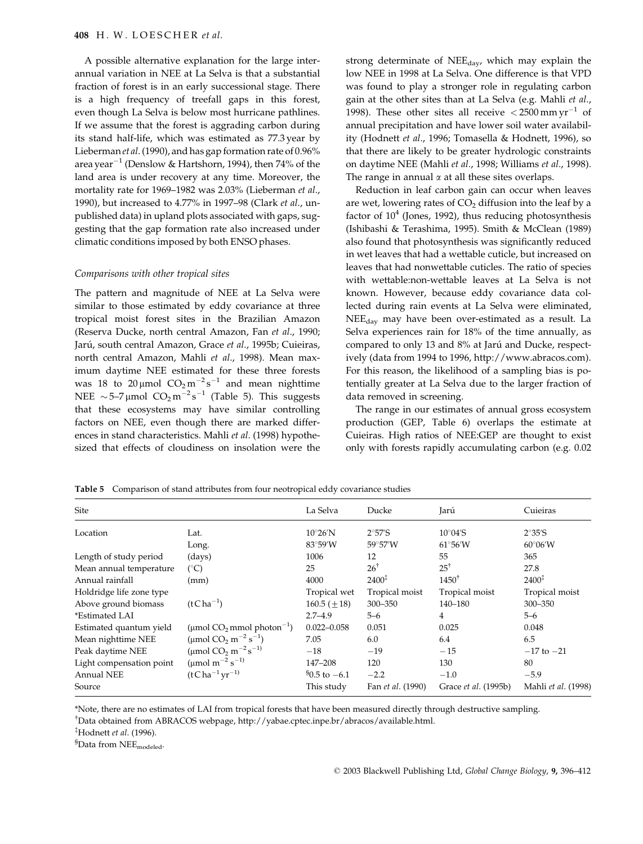A possible alternative explanation for the large interannual variation in NEE at La Selva is that a substantial fraction of forest is in an early successional stage. There is a high frequency of treefall gaps in this forest, even though La Selva is below most hurricane pathlines. If we assume that the forest is aggrading carbon during its stand half-life, which was estimated as 77.3 year by Lieberman et al. (1990), and has gap formation rate of 0.96% area year<sup>-1</sup> (Denslow & Hartshorn, 1994), then 74% of the land area is under recovery at any time. Moreover, the mortality rate for 1969-1982 was 2.03% (Lieberman et al., 1990), but increased to 4.77% in 1997-98 (Clark et al., unpublished data) in upland plots associated with gaps, suggesting that the gap formation rate also increased under climatic conditions imposed by both ENSO phases.

#### Comparisons with other tropical sites

The pattern and magnitude of NEE at La Selva were similar to those estimated by eddy covariance at three tropical moist forest sites in the Brazilian Amazon (Reserva Ducke, north central Amazon, Fan et al., 1990; Jarú, south central Amazon, Grace et al., 1995b; Cuieiras, north central Amazon, Mahli et al., 1998). Mean maximum daytime NEE estimated for these three forests was 18 to 20 µmol  $CO_2 m^{-2} s^{-1}$  and mean nighttime NEE ~5-7 µmol  $CO_2 m^{-2} s^{-1}$  (Table 5). This suggests that these ecosystems may have similar controlling factors on NEE, even though there are marked differences in stand characteristics. Mahli et al. (1998) hypothesized that effects of cloudiness on insolation were the strong determinate of NEE<sub>dav</sub>, which may explain the low NEE in 1998 at La Selva. One difference is that VPD was found to play a stronger role in regulating carbon gain at the other sites than at La Selva (e.g. Mahli et al., 1998). These other sites all receive  $\langle 2500 \text{ mm yr}^{-1}$  of annual precipitation and have lower soil water availability (Hodnett et al., 1996; Tomasella & Hodnett, 1996), so that there are likely to be greater hydrologic constraints on daytime NEE (Mahli et al., 1998; Williams et al., 1998). The range in annual  $\alpha$  at all these sites overlaps.

Reduction in leaf carbon gain can occur when leaves are wet, lowering rates of  $CO<sub>2</sub>$  diffusion into the leaf by a factor of  $10<sup>4</sup>$  (Jones, 1992), thus reducing photosynthesis (Ishibashi & Terashima, 1995). Smith & McClean (1989) also found that photosynthesis was significantly reduced in wet leaves that had a wettable cuticle, but increased on leaves that had nonwettable cuticles. The ratio of species with wettable:non-wettable leaves at La Selva is not known. However, because eddy covariance data collected during rain events at La Selva were eliminated, NEE<sub>dav</sub> may have been over-estimated as a result. La Selva experiences rain for 18% of the time annually, as compared to only 13 and 8% at Jarú and Ducke, respectively (data from 1994 to 1996, http://www.abracos.com). For this reason, the likelihood of a sampling bias is potentially greater at La Selva due to the larger fraction of data removed in screening.

The range in our estimates of annual gross ecosystem production (GEP, Table 6) overlaps the estimate at Cuieiras. High ratios of NEE:GEP are thought to exist only with forests rapidly accumulating carbon (e.g. 0.02

Table 5 Comparison of stand attributes from four neotropical eddy covariance studies

| Site                     |                                                | La Selva                          | Ducke                   | Jarú                      | Cuieiras                |
|--------------------------|------------------------------------------------|-----------------------------------|-------------------------|---------------------------|-------------------------|
| Location                 | Lat.                                           | $10^{\circ}26'$ N                 | $2^{\circ}57^{\prime}S$ | $10^{\circ}04^{\prime}$ S | $2^{\circ}35^{\prime}S$ |
|                          | Long.                                          | $83^\circ 59'W$                   | 59°57′W                 | $61^{\circ}56'W$          | $60^{\circ}06'$ W       |
| Length of study period   | (days)                                         | 1006                              | 12                      | 55                        | 365                     |
| Mean annual temperature  | $(^\circ C)$                                   | 25                                | $26^{\dagger}$          | $25^{\dagger}$            | 27.8                    |
| Annual rainfall          | (mm)                                           | 4000                              | $2400^{\ddagger}$       | $1450^{\dagger}$          | $2400^{\ddagger}$       |
| Holdridge life zone type |                                                | Tropical wet                      | Tropical moist          | Tropical moist            | Tropical moist          |
| Above ground biomass     | $(tCha^{-1})$                                  | $160.5 (\pm 18)$                  | $300 - 350$             | 140-180                   | 300-350                 |
| *Estimated LAI           |                                                | $2.7 - 4.9$                       | $5 - 6$                 | 4                         | $5 - 6$                 |
| Estimated quantum yield  | (µmol $CO2$ mmol photon <sup>-1</sup> )        | $0.022 - 0.058$                   | 0.051                   | 0.025                     | 0.048                   |
| Mean nighttime NEE       | (µmol $CO_2$ m <sup>-2</sup> s <sup>-1</sup> ) | 7.05                              | 6.0                     | 6.4                       | 6.5                     |
| Peak daytime NEE         | (µmol $CO_2 m^{-2} s^{-1}$ )                   | $-18$                             | $-19$                   | $-15$                     | $-17$ to $-21$          |
| Light compensation point | (µmol m <sup>-2</sup> s <sup>-1)</sup>         | 147-208                           | 120                     | 130                       | 80                      |
| <b>Annual NEE</b>        | $(tCha^{-1}yr^{-1})$                           | $\frac{80.5 \text{ to } -6.1}{ }$ | $-2.2$                  | $-1.0$                    | $-5.9$                  |
| Source                   |                                                | This study                        | Fan et al. (1990)       | Grace et al. (1995b)      | Mahli et al. (1998)     |

\*Note, there are no estimates of LAI from tropical forests that have been measured directly through destructive sampling. <sup>†</sup>Data obtained from ABRACOS webpage, http://yabae.cptec.inpe.br/abracos/available.html.

<sup>‡</sup>Hodnett et al. (1996).

<sup>8</sup>Data from NEE<sub>modeled</sub>.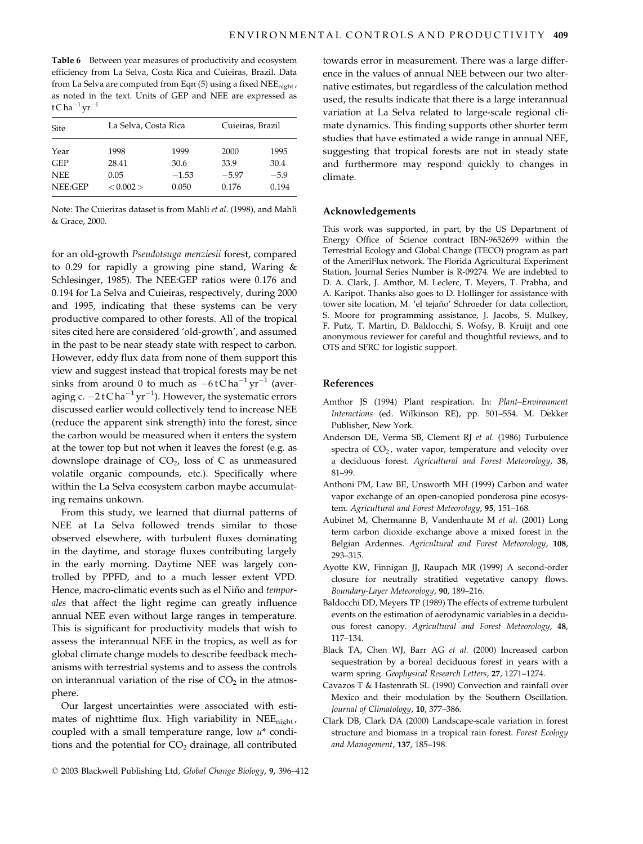Table 6 Between year measures of productivity and ecosystem efficiency from La Selva, Costa Rica and Cuieiras, Brazil. Data from La Selva are computed from Eqn (5) using a fixed NEE<sub>night</sub>, as noted in the text. Units of GEP and NEE are expressed as  $tC$ ha<sup>-1</sup> yr<sup>-1</sup>

| Site       |           | La Selva, Costa Rica |         | Cuieiras, Brazil |  |
|------------|-----------|----------------------|---------|------------------|--|
| Year       | 1998      | 1999                 | 2000    | 1995             |  |
| <b>GEP</b> | 28.41     | 30.6                 | 33.9    | 30.4             |  |
| <b>NEE</b> | 0.05      | $-1.53$              | $-5.97$ | $-5.9$           |  |
| NEE:GEP    | < 0.002 > | 0.050                | 0.176   | 0.194            |  |

Note: The Cuieriras dataset is from Mahli et al. (1998), and Mahli & Grace, 2000.

for an old-growth Pseudotsuga menziesii forest, compared to 0.29 for rapidly a growing pine stand, Waring  $\&$ Schlesinger, 1985). The NEE:GEP ratios were 0.176 and 0.194 for La Selva and Cuieiras, respectively, during 2000 and 1995, indicating that these systems can be very productive compared to other forests. All of the tropical sites cited here are considered 'old-growth', and assumed in the past to be near steady state with respect to carbon. However, eddy flux data from none of them support this view and suggest instead that tropical forests may be net sinks from around 0 to much as  $-6tCha^{-1}yr^{-1}$  (averaging c.  $-2tC$  ha<sup> $-1$ </sup> yr<sup> $-1$ </sup>). However, the systematic errors discussed earlier would collectively tend to increase NEE (reduce the apparent sink strength) into the forest, since the carbon would be measured when it enters the system at the tower top but not when it leaves the forest (e.g. as downslope drainage of  $CO<sub>2</sub>$ , loss of C as unmeasured volatile organic compounds, etc.). Specifically where within the La Selva ecosystem carbon maybe accumulating remains unkown.

From this study, we learned that diurnal patterns of NEE at La Selva followed trends similar to those observed elsewhere, with turbulent fluxes dominating in the daytime, and storage fluxes contributing largely in the early morning. Daytime NEE was largely controlled by PPFD, and to a much lesser extent VPD. Hence, macro-climatic events such as el Niño and temporales that affect the light regime can greatly influence annual NEE even without large ranges in temperature. This is significant for productivity models that wish to assess the interannual NEE in the tropics, as well as for global climate change models to describe feedback mechanisms with terrestrial systems and to assess the controls on interannual variation of the rise of  $CO<sub>2</sub>$  in the atmosphere.

Our largest uncertainties were associated with estimates of nighttime flux. High variability in NEE<sub>night</sub>, coupled with a small temperature range, low  $u^*$  conditions and the potential for  $CO<sub>2</sub>$  drainage, all contributed

towards error in measurement. There was a large difference in the values of annual NEE between our two alternative estimates, but regardless of the calculation method used, the results indicate that there is a large interannual variation at La Selva related to large-scale regional climate dynamics. This finding supports other shorter term studies that have estimated a wide range in annual NEE, suggesting that tropical forests are not in steady state and furthermore may respond quickly to changes in climate.

## Acknowledgements

This work was supported, in part, by the US Department of Energy Office of Science contract IBN-9652699 within the Terrestrial Ecology and Global Change (TECO) program as part of the AmeriFlux network. The Florida Agricultural Experiment Station, Journal Series Number is R-09274. We are indebted to D. A. Clark, J. Amthor, M. Leclerc, T. Meyers, T. Prabha, and A. Karipot. Thanks also goes to D. Hollinger for assistance with tower site location, M. 'el tejaño' Schroeder for data collection, S. Moore for programming assistance, J. Jacobs, S. Mulkey, F. Putz, T. Martin, D. Baldocchi, S. Wofsy, B. Kruijt and one anonymous reviewer for careful and thoughtful reviews, and to OTS and SFRC for logistic support.

#### **References**

- Amthor JS (1994) Plant respiration. In: Plant-Environment Interactions (ed. Wilkinson RE), pp. 501-554. M. Dekker Publisher, New York.
- Anderson DE, Verma SB, Clement RJ et al. (1986) Turbulence spectra of  $CO<sub>2</sub>$ , water vapor, temperature and velocity over a deciduous forest. Agricultural and Forest Meteorology, 38, 81-99.
- Anthoni PM, Law BE, Unsworth MH (1999) Carbon and water vapor exchange of an open-canopied ponderosa pine ecosystem. Agricultural and Forest Meteorology, 95, 151-168.
- Aubinet M, Chermanne B, Vandenhaute M et al. (2001) Long term carbon dioxide exchange above a mixed forest in the Belgian Ardennes. Agricultural and Forest Meteorology, 108, 293-315.
- Ayotte KW, Finnigan JJ, Raupach MR (1999) A second-order closure for neutrally stratified vegetative canopy flows. Boundary-Layer Meteorology, 90, 189-216.
- Baldocchi DD, Meyers TP (1989) The effects of extreme turbulent events on the estimation of aerodynamic variables in a deciduous forest canopy. Agricultural and Forest Meteorology, 48, 117-134.
- Black TA, Chen WJ, Barr AG et al. (2000) Increased carbon sequestration by a boreal deciduous forest in years with a warm spring. Geophysical Research Letters, 27, 1271-1274.
- Cavazos T & Hastenrath SL (1990) Convection and rainfall over Mexico and their modulation by the Southern Oscillation. Journal of Climatology, 10, 377-386.
- Clark DB, Clark DA (2000) Landscape-scale variation in forest structure and biomass in a tropical rain forest. Forest Ecology and Management, 137, 185-198.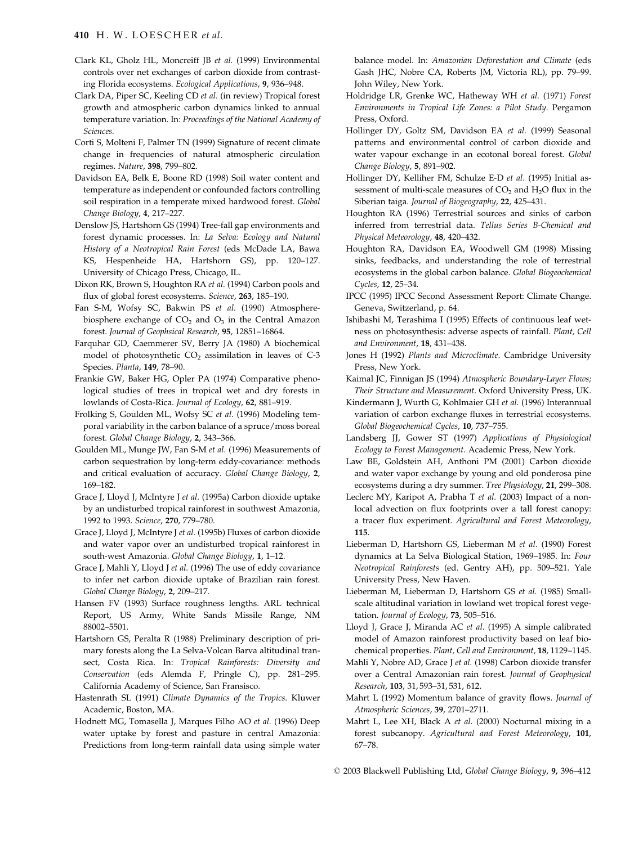# 410 H. W. LOESCHER et al.

- Clark KL, Gholz HL, Moncreiff JB et al. (1999) Environmental controls over net exchanges of carbon dioxide from contrasting Florida ecosystems. Ecological Applications, 9, 936-948.
- Clark DA, Piper SC, Keeling CD et al. (in review) Tropical forest growth and atmospheric carbon dynamics linked to annual temperature variation. In: Proceedings of the National Academy of Sciences.
- Corti S, Molteni F, Palmer TN (1999) Signature of recent climate change in frequencies of natural atmospheric circulation regimes. Nature, 398, 799-802.
- Davidson EA, Belk E, Boone RD (1998) Soil water content and temperature as independent or confounded factors controlling soil respiration in a temperate mixed hardwood forest. Global Change Biology, 4, 217-227.
- Denslow JS, Hartshorn GS (1994) Tree-fall gap environments and forest dynamic processes. In: La Selva: Ecology and Natural History of a Neotropical Rain Forest (eds McDade LA, Bawa KS, Hespenheide HA, Hartshorn GS), pp. 120-127. University of Chicago Press, Chicago, IL.
- Dixon RK, Brown S, Houghton RA et al. (1994) Carbon pools and flux of global forest ecosystems. Science, 263, 185-190.
- Fan S-M, Wofsy SC, Bakwin PS et al. (1990) Atmospherebiosphere exchange of  $CO<sub>2</sub>$  and  $O<sub>3</sub>$  in the Central Amazon forest. Journal of Geophsical Research, 95, 12851-16864.
- Farquhar GD, Caemmerer SV, Berry JA (1980) A biochemical model of photosynthetic CO<sub>2</sub> assimilation in leaves of C-3 Species. Planta, 149, 78-90.
- Frankie GW, Baker HG, Opler PA (1974) Comparative phenological studies of trees in tropical wet and dry forests in lowlands of Costa-Rica. Journal of Ecology, 62, 881-919.
- Frolking S, Goulden ML, Wofsy SC et al. (1996) Modeling temporal variability in the carbon balance of a spruce/moss boreal forest. Global Change Biology, 2, 343-366.
- Goulden ML, Munge JW, Fan S-M et al. (1996) Measurements of carbon sequestration by long-term eddy-covariance: methods and critical evaluation of accuracy. Global Change Biology, 2, 169-182.
- Grace J, Lloyd J, McIntyre J et al. (1995a) Carbon dioxide uptake by an undisturbed tropical rainforest in southwest Amazonia, 1992 to 1993. Science, 270, 779-780.
- Grace J, Lloyd J, McIntyre J et al. (1995b) Fluxes of carbon dioxide and water vapor over an undisturbed tropical rainforest in south-west Amazonia. Global Change Biology, 1, 1-12.
- Grace J, Mahli Y, Lloyd J et al. (1996) The use of eddy covariance to infer net carbon dioxide uptake of Brazilian rain forest. Global Change Biology, 2, 209-217.
- Hansen FV (1993) Surface roughness lengths. ARL technical Report, US Army, White Sands Missile Range, NM 88002-5501.
- Hartshorn GS, Peralta R (1988) Preliminary description of primary forests along the La Selva-Volcan Barva altitudinal transect, Costa Rica. In: Tropical Rainforests: Diversity and Conservation (eds Alemda F, Pringle C), pp. 281-295. California Academy of Science, San Fransisco.
- Hastenrath SL (1991) Climate Dynamics of the Tropics. Kluwer Academic, Boston, MA.
- Hodnett MG, Tomasella J, Marques Filho AO et al. (1996) Deep water uptake by forest and pasture in central Amazonia: Predictions from long-term rainfall data using simple water

balance model. In: Amazonian Deforestation and Climate (eds Gash JHC, Nobre CA, Roberts JM, Victoria RL), pp. 79-99. John Wiley, New York.

- Holdridge LR, Grenke WC, Hatheway WH et al. (1971) Forest Environments in Tropical Life Zones: a Pilot Study. Pergamon Press, Oxford.
- Hollinger DY, Goltz SM, Davidson EA et al. (1999) Seasonal patterns and environmental control of carbon dioxide and water vapour exchange in an ecotonal boreal forest. Global Change Biology, 5, 891-902.
- Hollinger DY, Kelliher FM, Schulze E-D et al. (1995) Initial assessment of multi-scale measures of  $CO<sub>2</sub>$  and  $H<sub>2</sub>O$  flux in the Siberian taiga. Journal of Biogeography, 22, 425-431.
- Houghton RA (1996) Terrestrial sources and sinks of carbon inferred from terrestrial data. Tellus Series B-Chemical and Physical Meteorology, 48, 420-432.
- Houghton RA, Davidson EA, Woodwell GM (1998) Missing sinks, feedbacks, and understanding the role of terrestrial ecosystems in the global carbon balance. Global Biogeochemical Cucles, 12, 25-34.
- IPCC (1995) IPCC Second Assessment Report: Climate Change. Geneva, Switzerland, p. 64.
- Ishibashi M, Terashima I (1995) Effects of continuous leaf wetness on photosynthesis: adverse aspects of rainfall. Plant, Cell and Environment, 18, 431-438.
- Jones H (1992) Plants and Microclimate. Cambridge University Press, New York.
- Kaimal JC, Finnigan JS (1994) Atmospheric Boundary-Layer Flows; Their Structure and Measurement. Oxford University Press, UK.
- Kindermann J, Wurth G, Kohlmaier GH et al. (1996) Interannual variation of carbon exchange fluxes in terrestrial ecosystems. Global Biogeochemical Cycles, 10, 737-755.
- Landsberg JJ, Gower ST (1997) Applications of Physiological Ecology to Forest Management. Academic Press, New York.
- Law BE, Goldstein AH, Anthoni PM (2001) Carbon dioxide and water vapor exchange by young and old ponderosa pine ecosystems during a dry summer. Tree Physiology, 21, 299-308.
- Leclerc MY, Karipot A, Prabha T et al. (2003) Impact of a nonlocal advection on flux footprints over a tall forest canopy: a tracer flux experiment. Agricultural and Forest Meteorology, 115.
- Lieberman D, Hartshorn GS, Lieberman M et al. (1990) Forest dynamics at La Selva Biological Station, 1969-1985. In: Four Neotropical Rainforests (ed. Gentry AH), pp. 509-521. Yale University Press, New Haven.
- Lieberman M, Lieberman D, Hartshorn GS et al. (1985) Smallscale altitudinal variation in lowland wet tropical forest vegetation. Journal of Ecology, 73, 505-516.
- Lloyd J, Grace J, Miranda AC et al. (1995) A simple calibrated model of Amazon rainforest productivity based on leaf biochemical properties. Plant, Cell and Environment, 18, 1129-1145.
- Mahli Y, Nobre AD, Grace J et al. (1998) Carbon dioxide transfer over a Central Amazonian rain forest. Journal of Geophysical Research, 103, 31, 593-31, 531, 612.
- Mahrt L (1992) Momentum balance of gravity flows. Journal of Atmospheric Sciences, 39, 2701-2711.
- Mahrt L, Lee XH, Black A et al. (2000) Nocturnal mixing in a forest subcanopy. Agricultural and Forest Meteorology, 101,  $67 - 78.$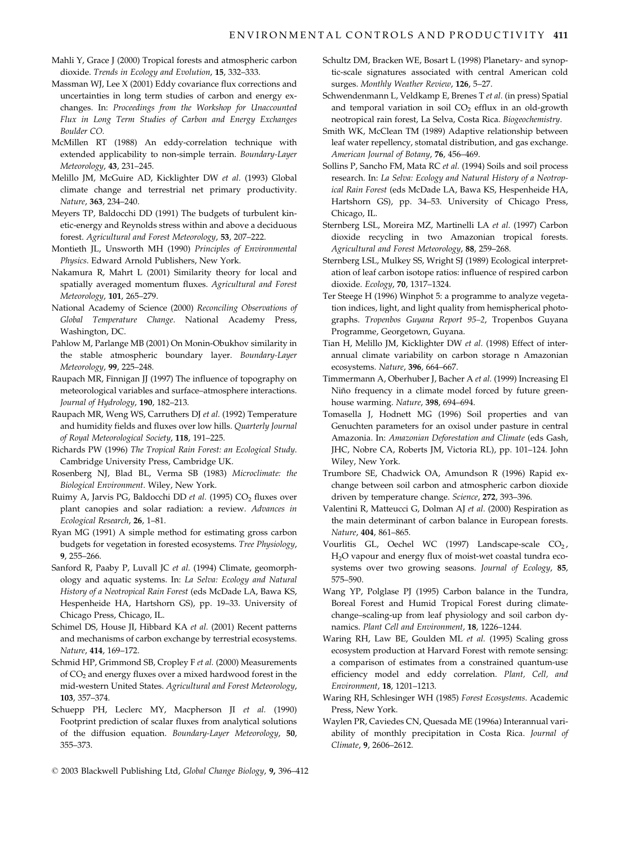- Mahli Y, Grace J (2000) Tropical forests and atmospheric carbon dioxide. Trends in Ecology and Evolution, 15, 332-333.
- Massman WJ, Lee X (2001) Eddy covariance flux corrections and uncertainties in long term studies of carbon and energy exchanges. In: Proceedings from the Workshop for Unaccounted Flux in Long Term Studies of Carbon and Energy Exchanges Boulder CO.
- McMillen RT (1988) An eddy-correlation technique with extended applicability to non-simple terrain. Boundary-Layer Meteorology, 43, 231-245.
- Melillo JM, McGuire AD, Kicklighter DW et al. (1993) Global climate change and terrestrial net primary productivity. Nature, 363, 234-240.
- Meyers TP, Baldocchi DD (1991) The budgets of turbulent kinetic-energy and Reynolds stress within and above a deciduous forest. Agricultural and Forest Meteorology, 53, 207-222.
- Montieth JL, Unsworth MH (1990) Principles of Environmental Physics. Edward Arnold Publishers, New York.
- Nakamura R, Mahrt L (2001) Similarity theory for local and spatially averaged momentum fluxes. Agricultural and Forest Meteorology, 101, 265-279.
- National Academy of Science (2000) Reconciling Observations of Global Temperature Change. National Academy Press, Washington, DC.
- Pahlow M, Parlange MB (2001) On Monin-Obukhov similarity in the stable atmospheric boundary layer. Boundary-Layer Meteorology, 99, 225-248.
- Raupach MR, Finnigan JJ (1997) The influence of topography on meteorological variables and surface-atmosphere interactions. Journal of Hydrology, 190, 182-213.
- Raupach MR, Weng WS, Carruthers DJ et al. (1992) Temperature and humidity fields and fluxes over low hills. Quarterly Journal of Royal Meteorological Society, 118, 191-225.
- Richards PW (1996) The Tropical Rain Forest: an Ecological Study. Cambridge University Press, Cambridge UK.
- Rosenberg NJ, Blad BL, Verma SB (1983) Microclimate: the Biological Environment. Wiley, New York.
- Ruimy A, Jarvis PG, Baldocchi DD et al. (1995) CO<sub>2</sub> fluxes over plant canopies and solar radiation: a review. Advances in Ecological Research, 26, 1-81.
- Ryan MG (1991) A simple method for estimating gross carbon budgets for vegetation in forested ecosystems. Tree Physiology, 9, 255-266.
- Sanford R, Paaby P, Luvall JC et al. (1994) Climate, geomorphology and aquatic systems. In: La Selva: Ecology and Natural History of a Neotropical Rain Forest (eds McDade LA, Bawa KS, Hespenheide HA, Hartshorn GS), pp. 19-33. University of Chicago Press, Chicago, IL.
- Schimel DS, House JI, Hibbard KA et al. (2001) Recent patterns and mechanisms of carbon exchange by terrestrial ecosystems. Nature, 414, 169-172.
- Schmid HP, Grimmond SB, Cropley F et al. (2000) Measurements of  $CO<sub>2</sub>$  and energy fluxes over a mixed hardwood forest in the mid-western United States. Agricultural and Forest Meteorology, 103, 357-374.
- Schuepp PH, Leclerc MY, Macpherson JI et al. (1990) Footprint prediction of scalar fluxes from analytical solutions of the diffusion equation. Boundary-Layer Meteorology, 50, 355-373.

surges. Monthly Weather Review, 126, 5-27. Schwendenmann L, Veldkamp E, Brenes T et al. (in press) Spatial

Schultz DM, Bracken WE, Bosart L (1998) Planetary- and synop-

tic-scale signatures associated with central American cold

- and temporal variation in soil  $CO<sub>2</sub>$  efflux in an old-growth neotropical rain forest, La Selva, Costa Rica. Biogeochemistry. Smith WK, McClean TM (1989) Adaptive relationship between
- leaf water repellency, stomatal distribution, and gas exchange. American Journal of Botany, 76, 456-469.
- Sollins P, Sancho FM, Mata RC et al. (1994) Soils and soil process research. In: La Selva: Ecology and Natural History of a Neotropical Rain Forest (eds McDade LA, Bawa KS, Hespenheide HA, Hartshorn GS), pp. 34-53. University of Chicago Press, Chicago, IL.
- Sternberg LSL, Moreira MZ, Martinelli LA et al. (1997) Carbon dioxide recycling in two Amazonian tropical forests. Agricultural and Forest Meteorology, 88, 259-268.
- Sternberg LSL, Mulkey SS, Wright SJ (1989) Ecological interpretation of leaf carbon isotope ratios: influence of respired carbon dioxide. Ecology, 70, 1317-1324.
- Ter Steege H (1996) Winphot 5: a programme to analyze vegetation indices, light, and light quality from hemispherical photographs. Tropenbos Guyana Report 95-2, Tropenbos Guyana Programme, Georgetown, Guyana.
- Tian H, Melillo JM, Kicklighter DW et al. (1998) Effect of interannual climate variability on carbon storage n Amazonian ecosystems. Nature, 396, 664-667.
- Timmermann A, Oberhuber J, Bacher A et al. (1999) Increasing El Niño frequency in a climate model forced by future greenhouse warming. Nature, 398, 694-694.
- Tomasella J, Hodnett MG (1996) Soil properties and van Genuchten parameters for an oxisol under pasture in central Amazonia. In: Amazonian Deforestation and Climate (eds Gash, JHC, Nobre CA, Roberts JM, Victoria RL), pp. 101-124. John Wiley, New York.
- Trumbore SE, Chadwick OA, Amundson R (1996) Rapid exchange between soil carbon and atmospheric carbon dioxide driven by temperature change. Science, 272, 393-396.
- Valentini R, Matteucci G, Dolman AJ et al. (2000) Respiration as the main determinant of carbon balance in European forests. Nature, 404, 861-865.
- Vourlitis GL, Oechel WC (1997) Landscape-scale CO<sub>2</sub>, H<sub>2</sub>O vapour and energy flux of moist-wet coastal tundra ecosystems over two growing seasons. Journal of Ecology, 85, 575-590.
- Wang YP, Polglase PJ (1995) Carbon balance in the Tundra, Boreal Forest and Humid Tropical Forest during climatechange-scaling-up from leaf physiology and soil carbon dynamics. Plant Cell and Environment, 18, 1226-1244.
- Waring RH, Law BE, Goulden ML et al. (1995) Scaling gross ecosystem production at Harvard Forest with remote sensing: a comparison of estimates from a constrained quantum-use efficiency model and eddy correlation. Plant, Cell, and Environment, 18, 1201-1213.
- Waring RH, Schlesinger WH (1985) Forest Ecosystems. Academic Press. New York.
- Waylen PR, Caviedes CN, Quesada ME (1996a) Interannual variability of monthly precipitation in Costa Rica. Journal of Climate, 9, 2606-2612.